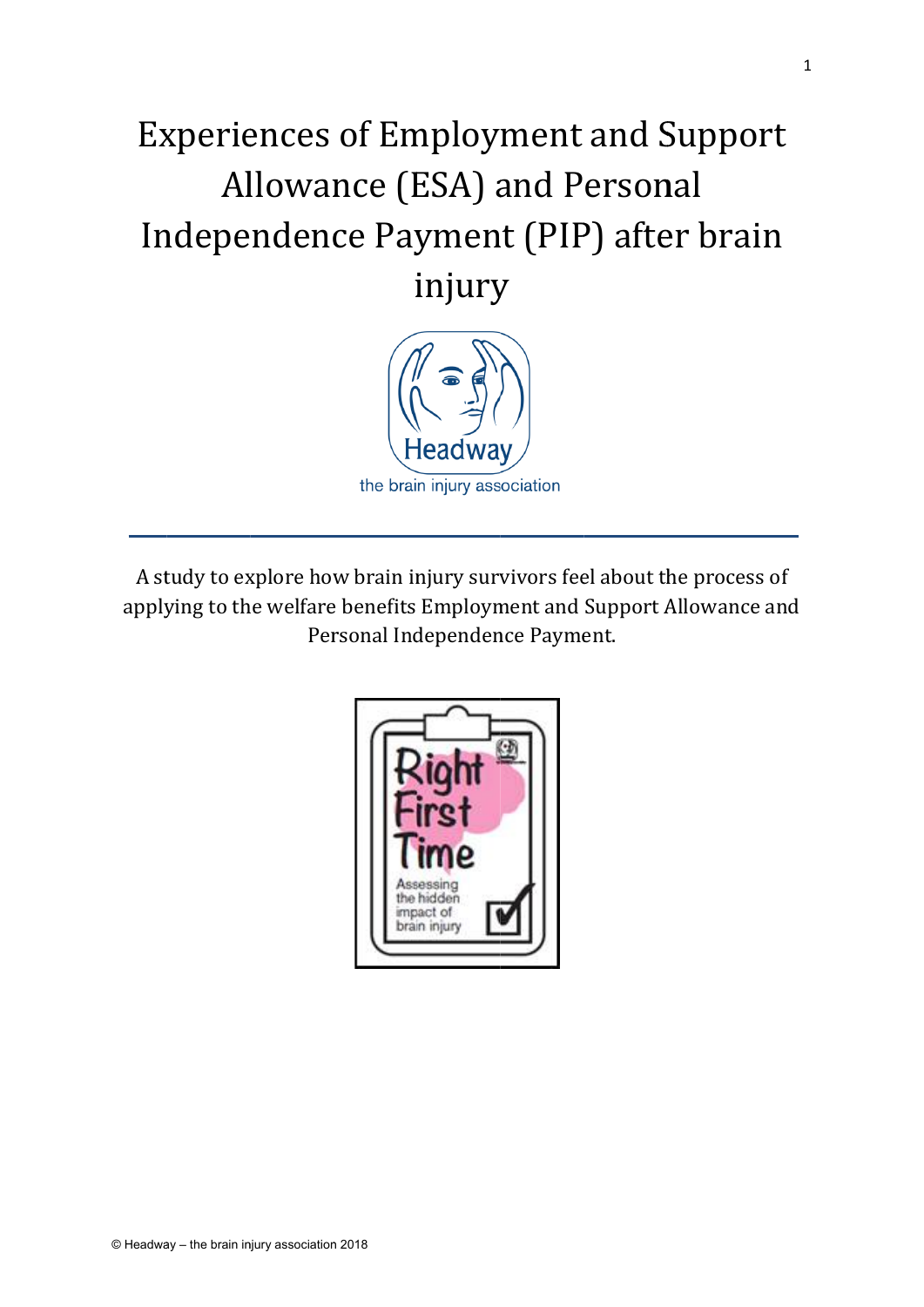# Experiences of Employment and Support Independence Payment (PIP) after brain Allowance (ESA) and Personal i injury



A study to explore how brain injury survivors feel about the process of applying to the welfare benefits Employment and Support Allowance and Personal Independence Payment.

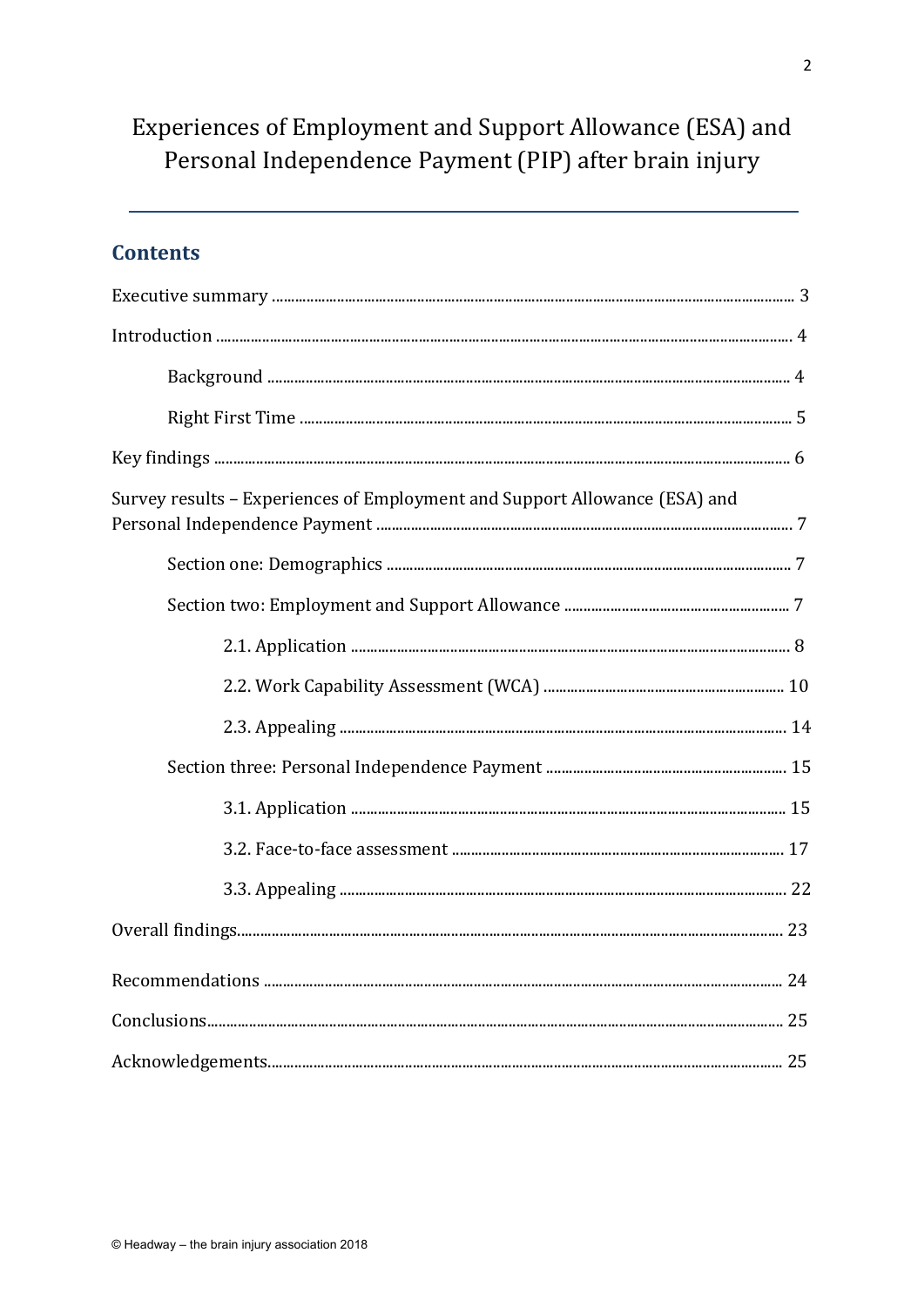# Experiences of Employment and Support Allowance (ESA) and Personal Independence Payment (PIP) after brain injury

# **Contents**

| Survey results - Experiences of Employment and Support Allowance (ESA) and |  |
|----------------------------------------------------------------------------|--|
|                                                                            |  |
|                                                                            |  |
|                                                                            |  |
|                                                                            |  |
|                                                                            |  |
|                                                                            |  |
|                                                                            |  |
|                                                                            |  |
|                                                                            |  |
|                                                                            |  |
|                                                                            |  |
|                                                                            |  |
|                                                                            |  |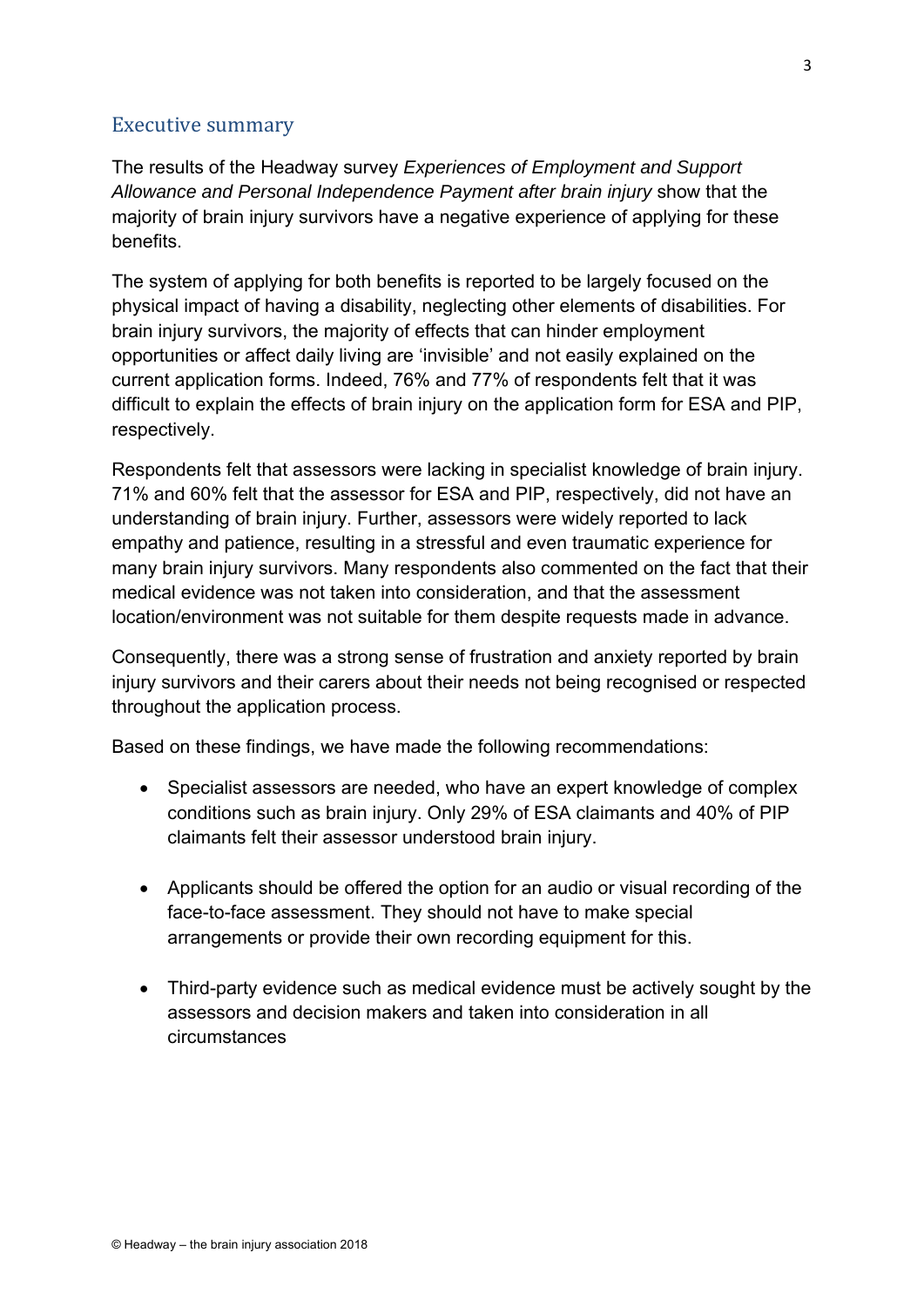#### Executive summary

The results of the Headway survey *Experiences of Employment and Support Allowance and Personal Independence Payment after brain injury* show that the majority of brain injury survivors have a negative experience of applying for these benefits.

The system of applying for both benefits is reported to be largely focused on the physical impact of having a disability, neglecting other elements of disabilities. For brain injury survivors, the majority of effects that can hinder employment opportunities or affect daily living are 'invisible' and not easily explained on the current application forms. Indeed, 76% and 77% of respondents felt that it was difficult to explain the effects of brain injury on the application form for ESA and PIP, respectively.

Respondents felt that assessors were lacking in specialist knowledge of brain injury. 71% and 60% felt that the assessor for ESA and PIP, respectively, did not have an understanding of brain injury. Further, assessors were widely reported to lack empathy and patience, resulting in a stressful and even traumatic experience for many brain injury survivors. Many respondents also commented on the fact that their medical evidence was not taken into consideration, and that the assessment location/environment was not suitable for them despite requests made in advance.

Consequently, there was a strong sense of frustration and anxiety reported by brain injury survivors and their carers about their needs not being recognised or respected throughout the application process.

Based on these findings, we have made the following recommendations:

- Specialist assessors are needed, who have an expert knowledge of complex conditions such as brain injury. Only 29% of ESA claimants and 40% of PIP claimants felt their assessor understood brain injury.
- Applicants should be offered the option for an audio or visual recording of the face-to-face assessment. They should not have to make special arrangements or provide their own recording equipment for this.
- Third-party evidence such as medical evidence must be actively sought by the assessors and decision makers and taken into consideration in all circumstances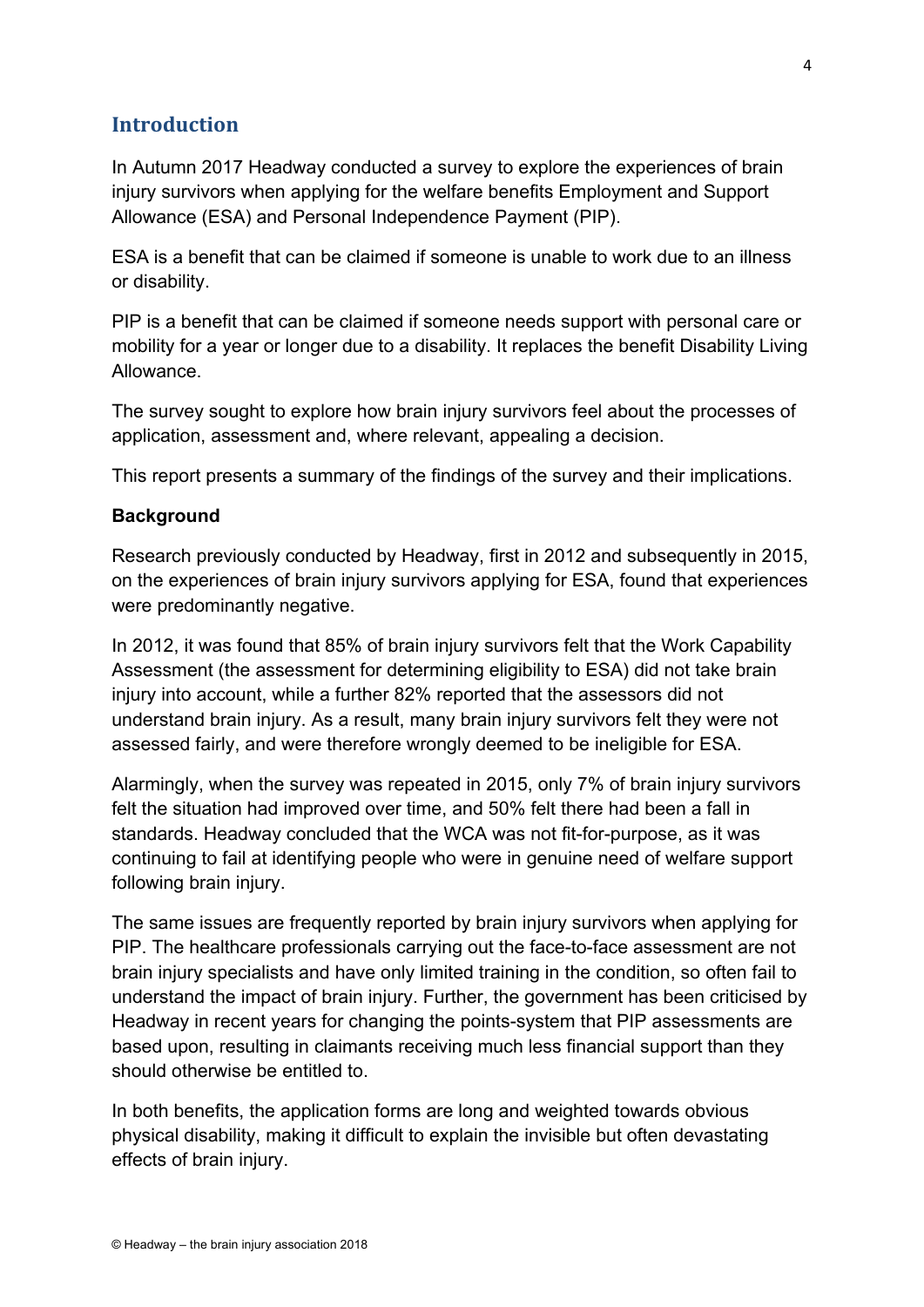# **Introduction**

In Autumn 2017 Headway conducted a survey to explore the experiences of brain injury survivors when applying for the welfare benefits Employment and Support Allowance (ESA) and Personal Independence Payment (PIP).

ESA is a benefit that can be claimed if someone is unable to work due to an illness or disability.

PIP is a benefit that can be claimed if someone needs support with personal care or mobility for a year or longer due to a disability. It replaces the benefit Disability Living Allowance.

The survey sought to explore how brain injury survivors feel about the processes of application, assessment and, where relevant, appealing a decision.

This report presents a summary of the findings of the survey and their implications.

#### **Background**

Research previously conducted by Headway, first in 2012 and subsequently in 2015, on the experiences of brain injury survivors applying for ESA, found that experiences were predominantly negative.

In 2012, it was found that 85% of brain injury survivors felt that the Work Capability Assessment (the assessment for determining eligibility to ESA) did not take brain injury into account, while a further 82% reported that the assessors did not understand brain injury. As a result, many brain injury survivors felt they were not assessed fairly, and were therefore wrongly deemed to be ineligible for ESA.

Alarmingly, when the survey was repeated in 2015, only 7% of brain injury survivors felt the situation had improved over time, and 50% felt there had been a fall in standards. Headway concluded that the WCA was not fit-for-purpose, as it was continuing to fail at identifying people who were in genuine need of welfare support following brain injury.

The same issues are frequently reported by brain injury survivors when applying for PIP. The healthcare professionals carrying out the face-to-face assessment are not brain injury specialists and have only limited training in the condition, so often fail to understand the impact of brain injury. Further, the government has been criticised by Headway in recent years for changing the points-system that PIP assessments are based upon, resulting in claimants receiving much less financial support than they should otherwise be entitled to.

In both benefits, the application forms are long and weighted towards obvious physical disability, making it difficult to explain the invisible but often devastating effects of brain injury.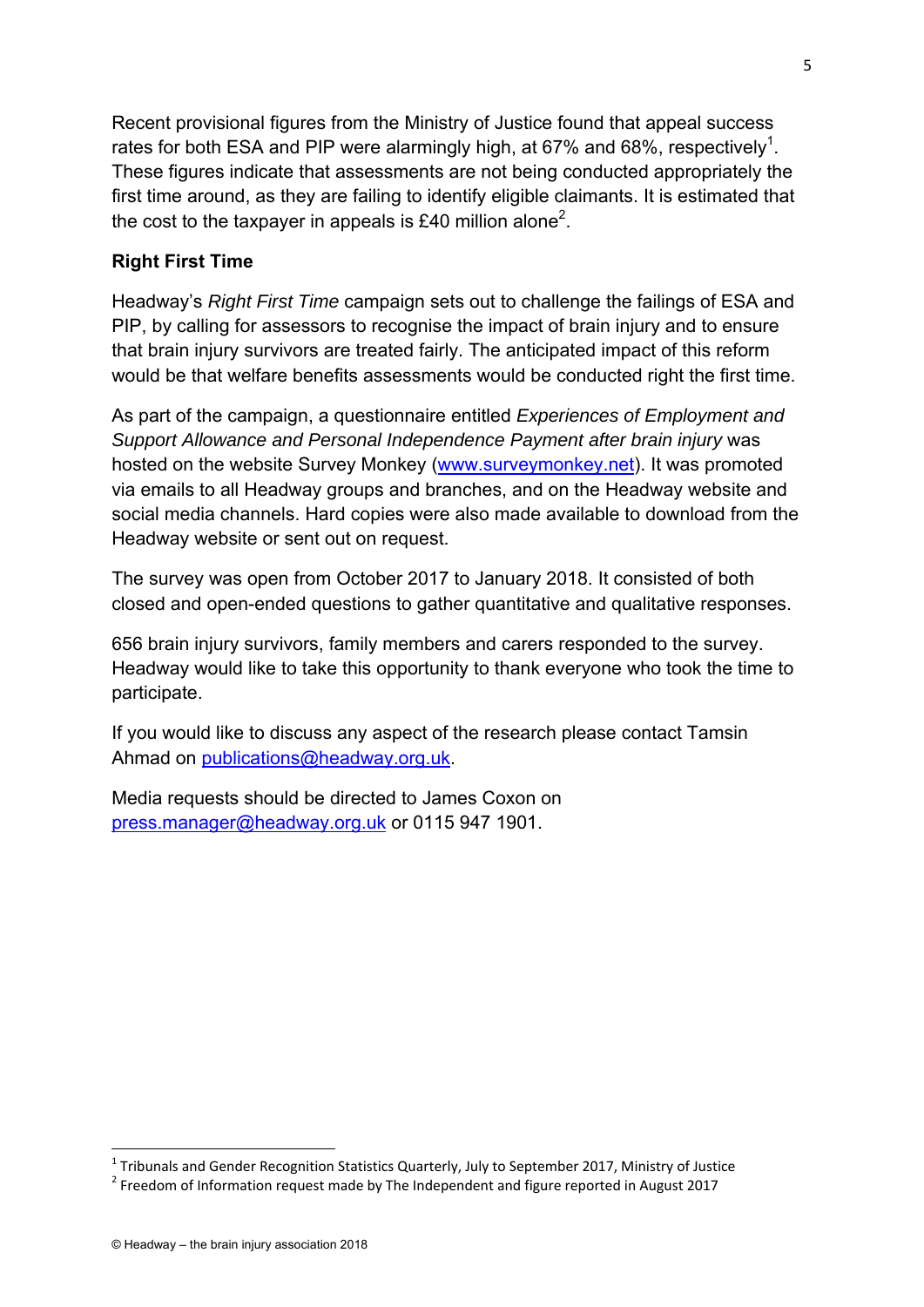Recent provisional figures from the Ministry of Justice found that appeal success rates for both ESA and PIP were alarmingly high, at 67% and 68%, respectively<sup>1</sup>. These figures indicate that assessments are not being conducted appropriately the first time around, as they are failing to identify eligible claimants. It is estimated that the cost to the taxpayer in appeals is £40 million alone $^2$ .

#### **Right First Time**

Headway's *Right First Time* campaign sets out to challenge the failings of ESA and PIP, by calling for assessors to recognise the impact of brain injury and to ensure that brain injury survivors are treated fairly. The anticipated impact of this reform would be that welfare benefits assessments would be conducted right the first time.

As part of the campaign, a questionnaire entitled *Experiences of Employment and Support Allowance and Personal Independence Payment after brain injury* was hosted on the website Survey Monkey (www.surveymonkey.net). It was promoted via emails to all Headway groups and branches, and on the Headway website and social media channels. Hard copies were also made available to download from the Headway website or sent out on request.

The survey was open from October 2017 to January 2018. It consisted of both closed and open-ended questions to gather quantitative and qualitative responses.

656 brain injury survivors, family members and carers responded to the survey. Headway would like to take this opportunity to thank everyone who took the time to participate.

If you would like to discuss any aspect of the research please contact Tamsin Ahmad on publications@headway.org.uk.

Media requests should be directed to James Coxon on press.manager@headway.org.uk or 0115 947 1901.

<sup>&</sup>lt;sup>1</sup> Tribunals and Gender Recognition Statistics Quarterly, July to September 2017, Ministry of Justice  $\frac{2}{3}$  Ereodom of Information request made by The Independent and figure reported in August 2017

<sup>&</sup>lt;sup>2</sup> Freedom of Information request made by The Independent and figure reported in August 2017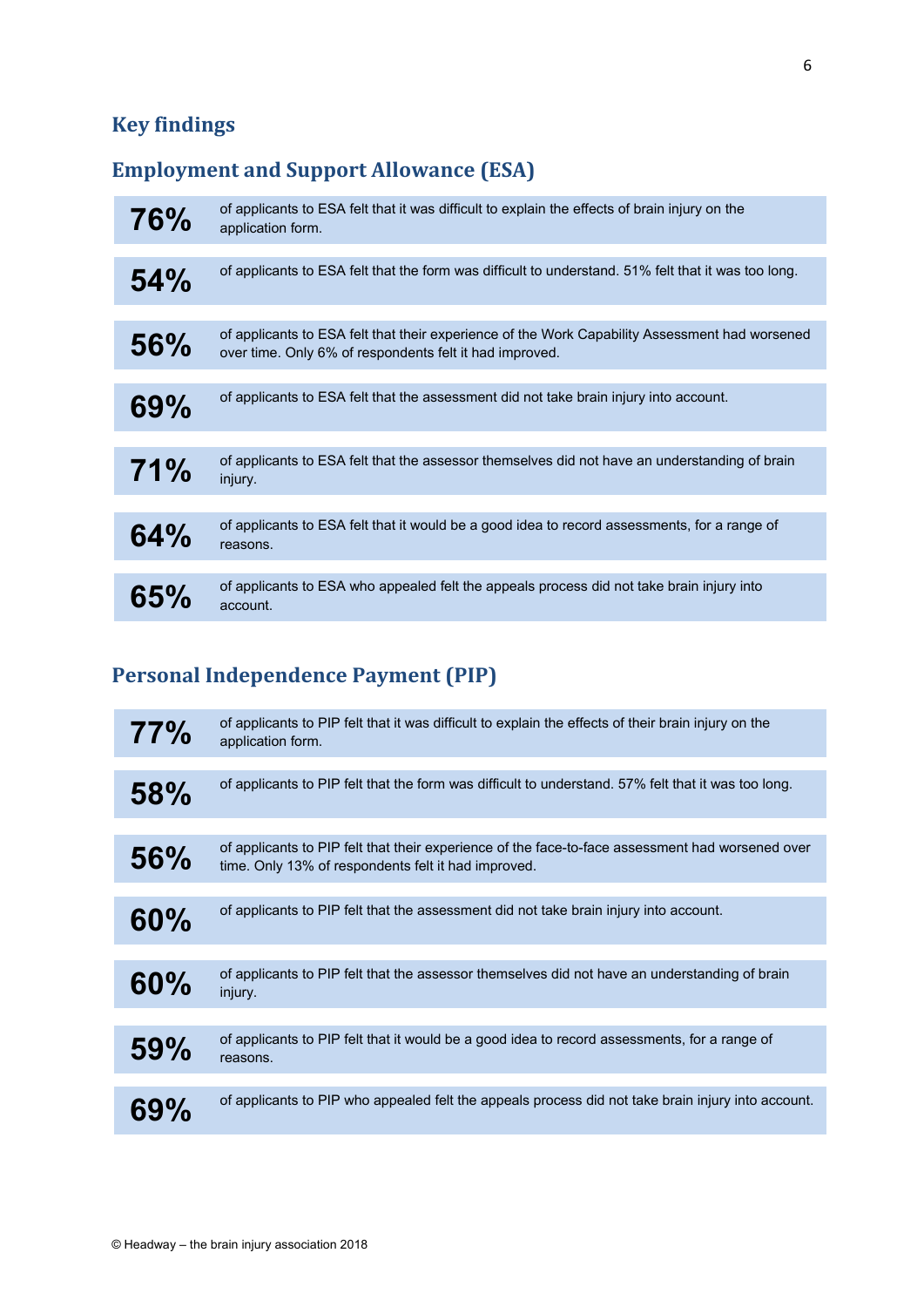# **Key findings**

# **Employment and Support Allowance (ESA)**

| 76%        | of applicants to ESA felt that it was difficult to explain the effects of brain injury on the<br>application form.                                        |
|------------|-----------------------------------------------------------------------------------------------------------------------------------------------------------|
| 54%        | of applicants to ESA felt that the form was difficult to understand. 51% felt that it was too long.                                                       |
|            |                                                                                                                                                           |
| <b>56%</b> | of applicants to ESA felt that their experience of the Work Capability Assessment had worsened<br>over time. Only 6% of respondents felt it had improved. |
|            |                                                                                                                                                           |
| 69%        | of applicants to ESA felt that the assessment did not take brain injury into account.                                                                     |
|            |                                                                                                                                                           |
| 71%        | of applicants to ESA felt that the assessor themselves did not have an understanding of brain<br>injury.                                                  |
|            |                                                                                                                                                           |
| 64%        | of applicants to ESA felt that it would be a good idea to record assessments, for a range of<br>reasons.                                                  |
|            |                                                                                                                                                           |
| 65%        | of applicants to ESA who appealed felt the appeals process did not take brain injury into<br>account.                                                     |

# **Personal Independence Payment (PIP)**

| 77%        | of applicants to PIP felt that it was difficult to explain the effects of their brain injury on the<br>application form.                                |
|------------|---------------------------------------------------------------------------------------------------------------------------------------------------------|
| <b>58%</b> | of applicants to PIP felt that the form was difficult to understand. 57% felt that it was too long.                                                     |
|            |                                                                                                                                                         |
|            |                                                                                                                                                         |
| <b>56%</b> | of applicants to PIP felt that their experience of the face-to-face assessment had worsened over<br>time. Only 13% of respondents felt it had improved. |
|            |                                                                                                                                                         |
| 60%        | of applicants to PIP felt that the assessment did not take brain injury into account.                                                                   |
|            |                                                                                                                                                         |
| 60%        | of applicants to PIP felt that the assessor themselves did not have an understanding of brain<br>injury.                                                |
|            |                                                                                                                                                         |
| 59%        | of applicants to PIP felt that it would be a good idea to record assessments, for a range of<br>reasons.                                                |
|            |                                                                                                                                                         |
| 69%        | of applicants to PIP who appealed felt the appeals process did not take brain injury into account.                                                      |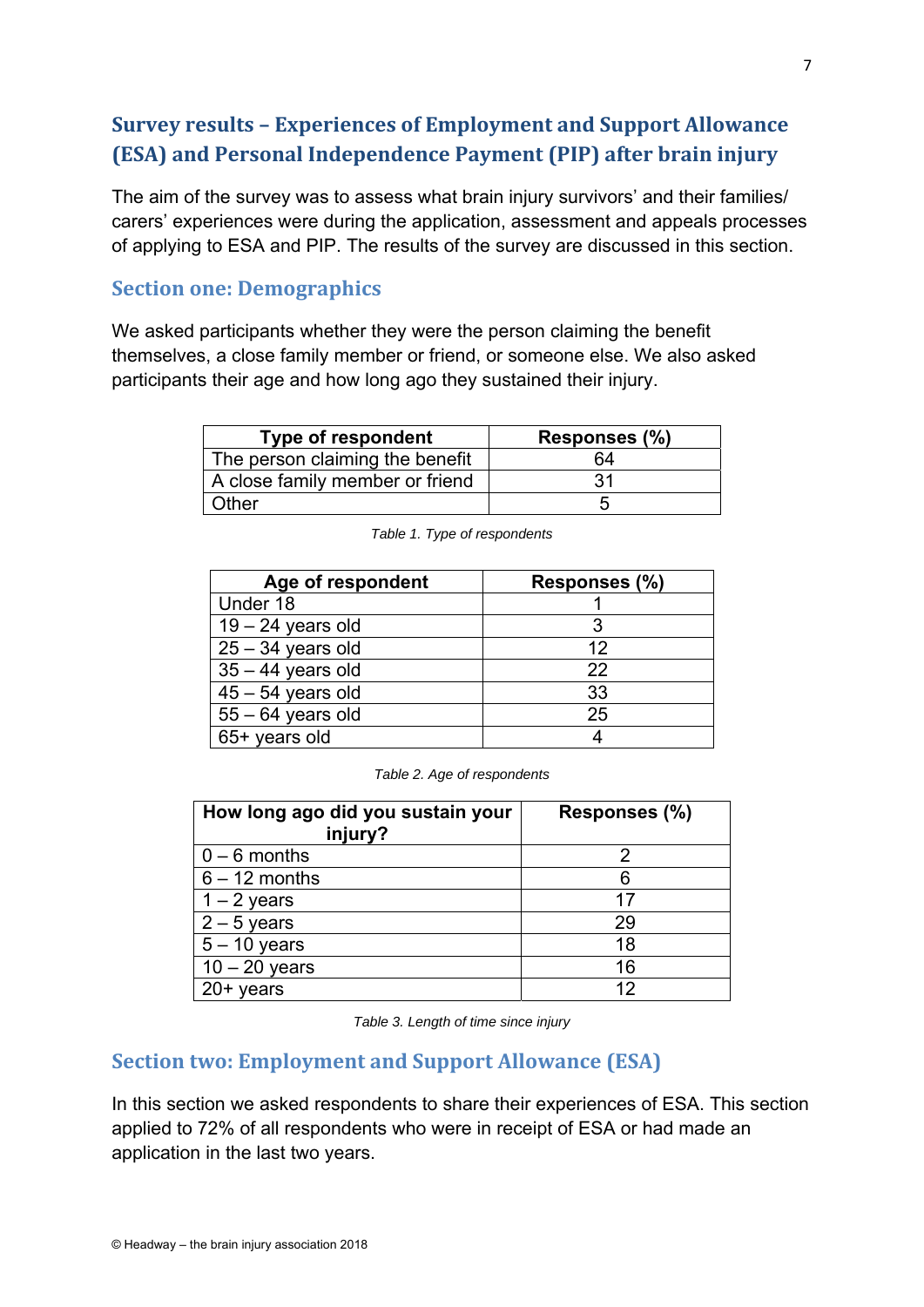# **Survey results – Experiences of Employment and Support Allowance (ESA) and Personal Independence Payment (PIP) after brain injury**

The aim of the survey was to assess what brain injury survivors' and their families/ carers' experiences were during the application, assessment and appeals processes of applying to ESA and PIP. The results of the survey are discussed in this section.

### **Section one: Demographics**

We asked participants whether they were the person claiming the benefit themselves, a close family member or friend, or someone else. We also asked participants their age and how long ago they sustained their injury.

| <b>Type of respondent</b>       | Responses (%) |
|---------------------------------|---------------|
| The person claiming the benefit | 64            |
| A close family member or friend | 31            |
| Other                           |               |

| Age of respondent   | Responses (%) |
|---------------------|---------------|
| Under 18            |               |
| $19 - 24$ years old |               |
| $25 - 34$ years old | 12            |
| $35 - 44$ years old | 22            |
| $45 - 54$ years old | 33            |
| $55 - 64$ years old | 25            |
| 65+ years old       |               |

*Table 1. Type of respondents* 

|  |  | Table 2. Age of respondents |
|--|--|-----------------------------|
|--|--|-----------------------------|

| How long ago did you sustain your<br>injury? | Responses (%) |
|----------------------------------------------|---------------|
| $0 - 6$ months                               | 2             |
| $6 - 12$ months                              | 6             |
| $1 - 2$ years                                | 17            |
| $2 - 5$ years                                | 29            |
| $5 - 10$ years                               | 18            |
| $10 - 20$ years                              | 16            |
| $20+$ years                                  | 19            |

*Table 3. Length of time since injury* 

# **Section two: Employment and Support Allowance (ESA)**

In this section we asked respondents to share their experiences of ESA. This section applied to 72% of all respondents who were in receipt of ESA or had made an application in the last two years.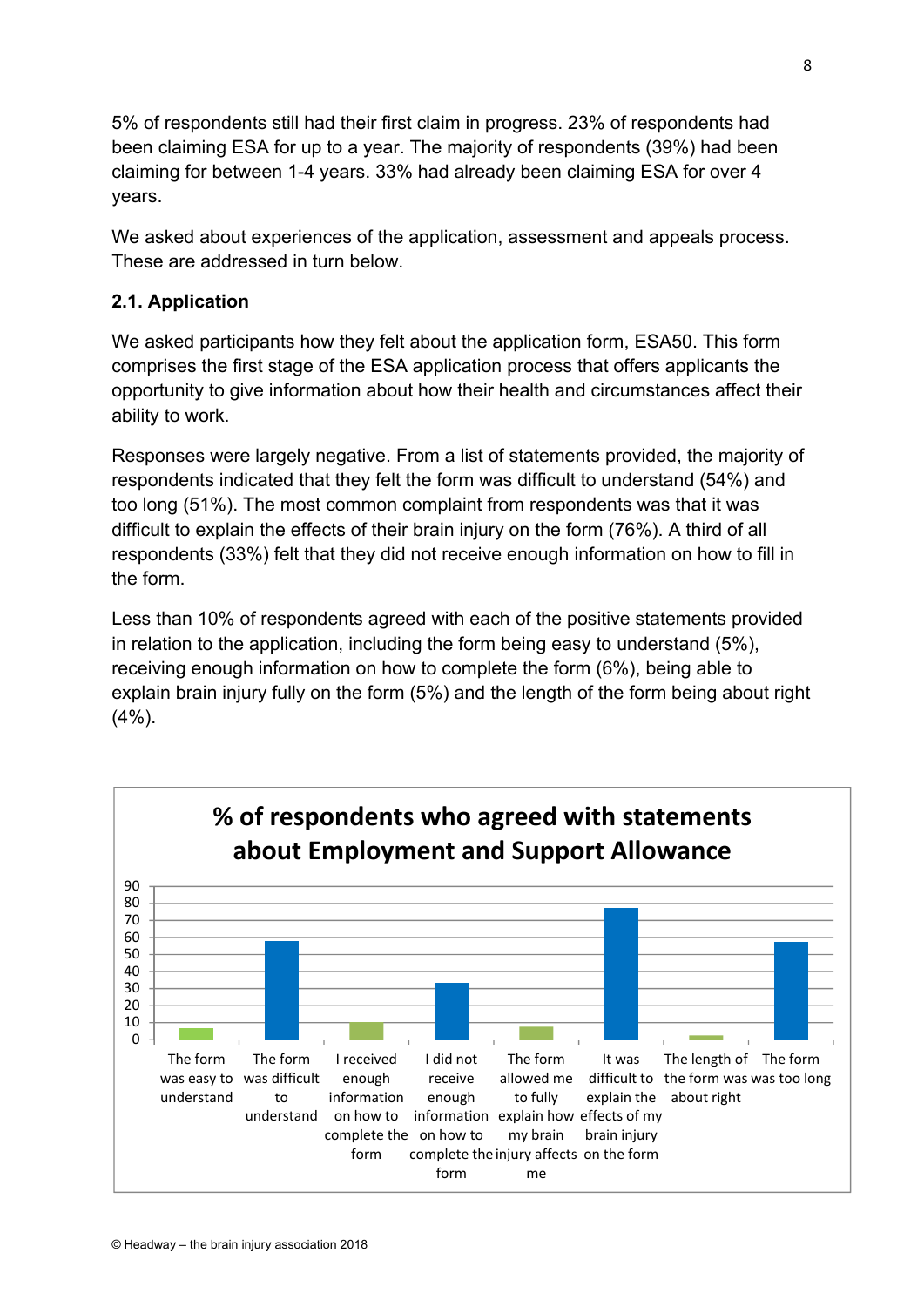5% of respondents still had their first claim in progress. 23% of respondents had been claiming ESA for up to a year. The majority of respondents (39%) had been claiming for between 1-4 years. 33% had already been claiming ESA for over 4 years.

We asked about experiences of the application, assessment and appeals process. These are addressed in turn below.

### **2.1. Application**

We asked participants how they felt about the application form, ESA50. This form comprises the first stage of the ESA application process that offers applicants the opportunity to give information about how their health and circumstances affect their ability to work.

Responses were largely negative. From a list of statements provided, the majority of respondents indicated that they felt the form was difficult to understand (54%) and too long (51%). The most common complaint from respondents was that it was difficult to explain the effects of their brain injury on the form (76%). A third of all respondents (33%) felt that they did not receive enough information on how to fill in the form.

Less than 10% of respondents agreed with each of the positive statements provided in relation to the application, including the form being easy to understand (5%), receiving enough information on how to complete the form (6%), being able to explain brain injury fully on the form (5%) and the length of the form being about right (4%).

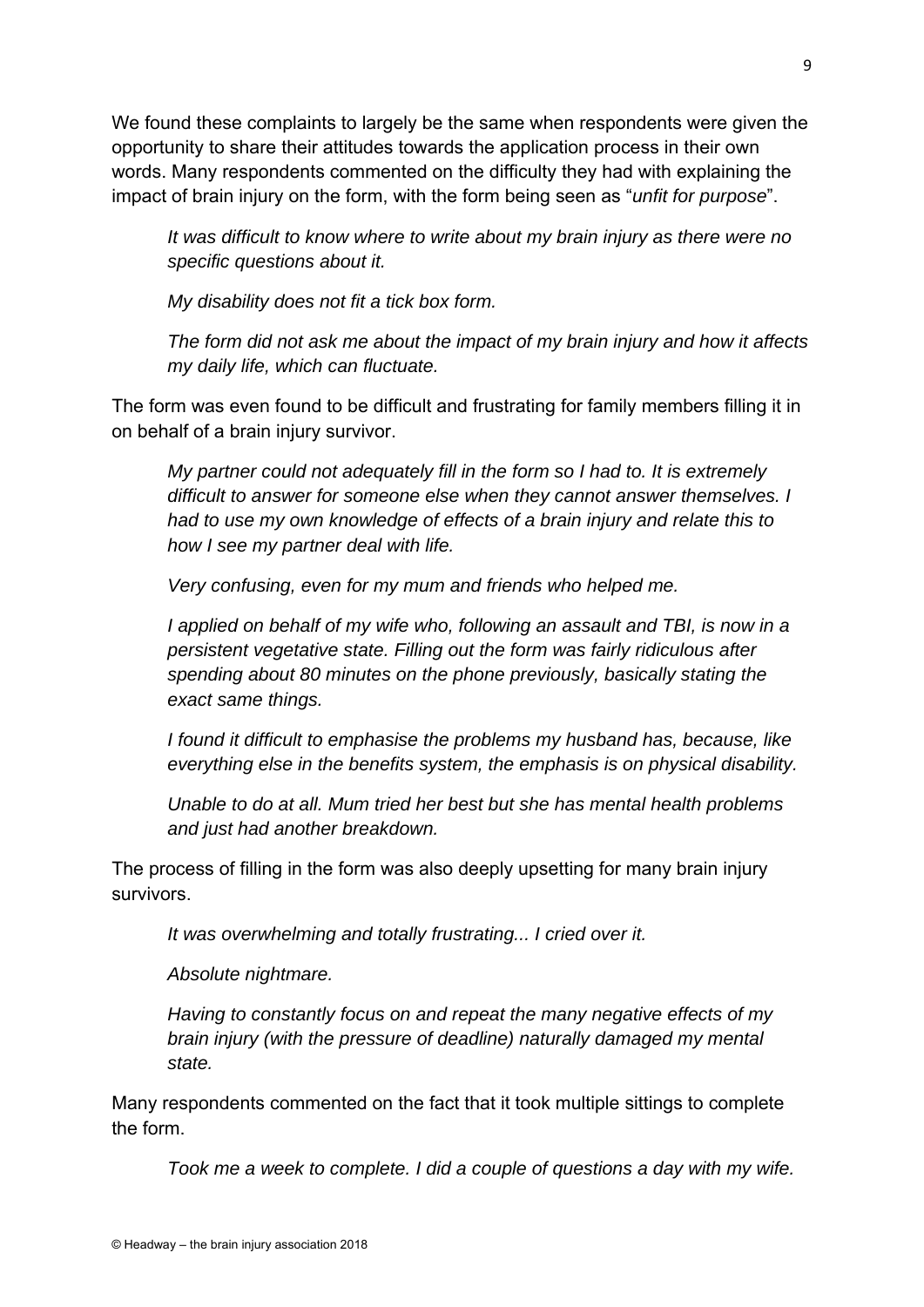We found these complaints to largely be the same when respondents were given the opportunity to share their attitudes towards the application process in their own words. Many respondents commented on the difficulty they had with explaining the impact of brain injury on the form, with the form being seen as "*unfit for purpose*".

*It was difficult to know where to write about my brain injury as there were no specific questions about it.* 

*My disability does not fit a tick box form.* 

*The form did not ask me about the impact of my brain injury and how it affects my daily life, which can fluctuate.* 

The form was even found to be difficult and frustrating for family members filling it in on behalf of a brain injury survivor.

*My partner could not adequately fill in the form so I had to. It is extremely difficult to answer for someone else when they cannot answer themselves. I had to use my own knowledge of effects of a brain injury and relate this to how I see my partner deal with life.* 

*Very confusing, even for my mum and friends who helped me.* 

*I applied on behalf of my wife who, following an assault and TBI, is now in a persistent vegetative state. Filling out the form was fairly ridiculous after spending about 80 minutes on the phone previously, basically stating the exact same things.* 

*I found it difficult to emphasise the problems my husband has, because, like everything else in the benefits system, the emphasis is on physical disability.* 

*Unable to do at all. Mum tried her best but she has mental health problems and just had another breakdown.* 

The process of filling in the form was also deeply upsetting for many brain injury survivors.

*It was overwhelming and totally frustrating... I cried over it.* 

*Absolute nightmare.* 

*Having to constantly focus on and repeat the many negative effects of my brain injury (with the pressure of deadline) naturally damaged my mental state.* 

Many respondents commented on the fact that it took multiple sittings to complete the form.

*Took me a week to complete. I did a couple of questions a day with my wife.*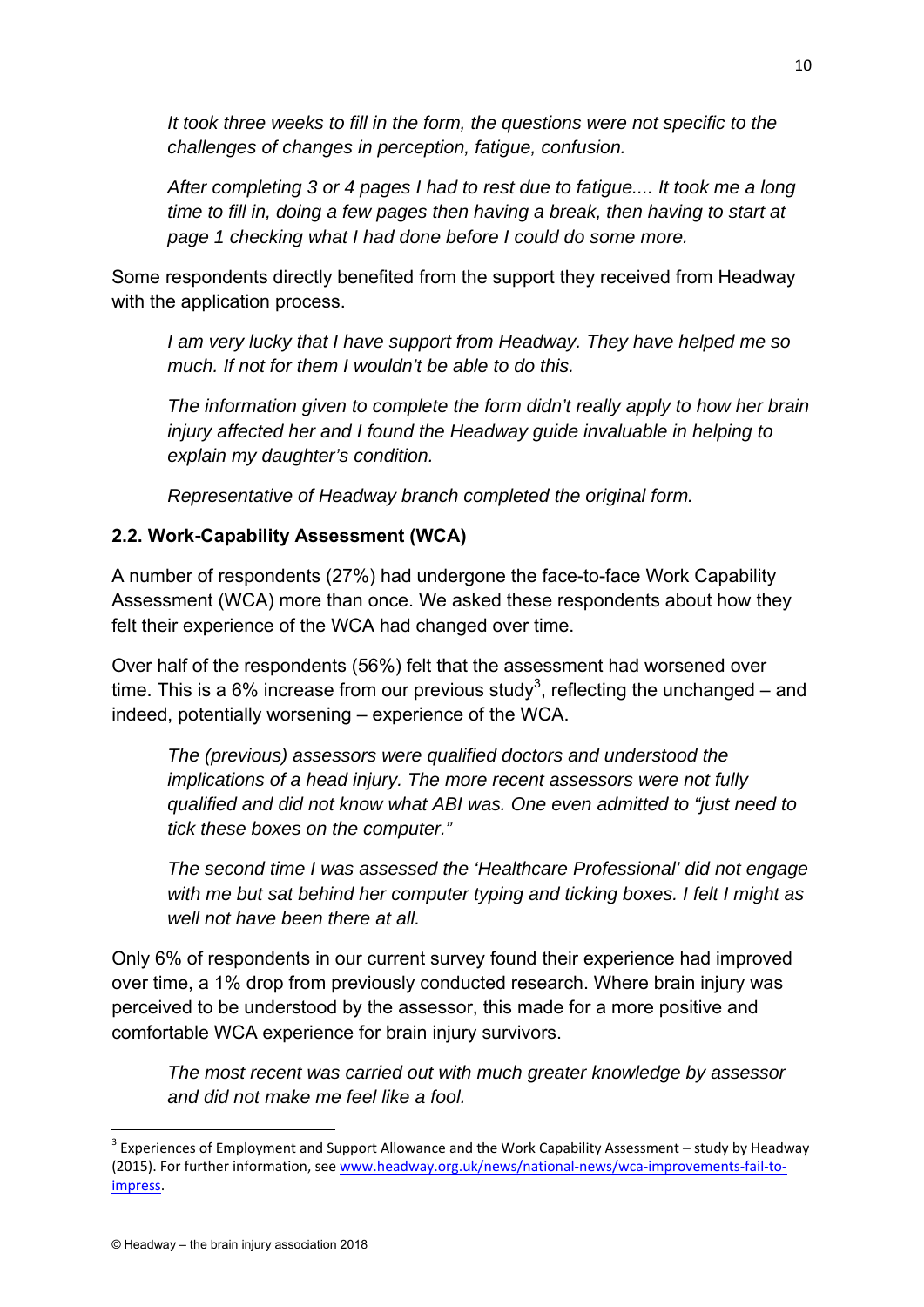It took three weeks to fill in the form, the questions were not specific to the *challenges of changes in perception, fatigue, confusion.* 

*After completing 3 or 4 pages I had to rest due to fatigue.... It took me a long time to fill in, doing a few pages then having a break, then having to start at page 1 checking what I had done before I could do some more.* 

Some respondents directly benefited from the support they received from Headway with the application process.

*I am very lucky that I have support from Headway. They have helped me so much. If not for them I wouldn't be able to do this.* 

*The information given to complete the form didn't really apply to how her brain injury affected her and I found the Headway guide invaluable in helping to explain my daughter's condition.* 

*Representative of Headway branch completed the original form.* 

#### **2.2. Work-Capability Assessment (WCA)**

A number of respondents (27%) had undergone the face-to-face Work Capability Assessment (WCA) more than once. We asked these respondents about how they felt their experience of the WCA had changed over time.

Over half of the respondents (56%) felt that the assessment had worsened over time. This is a 6% increase from our previous study $^3$ , reflecting the unchanged – and indeed, potentially worsening – experience of the WCA.

*The (previous) assessors were qualified doctors and understood the implications of a head injury. The more recent assessors were not fully qualified and did not know what ABI was. One even admitted to "just need to tick these boxes on the computer."* 

*The second time I was assessed the 'Healthcare Professional' did not engage with me but sat behind her computer typing and ticking boxes. I felt I might as well not have been there at all.* 

Only 6% of respondents in our current survey found their experience had improved over time, a 1% drop from previously conducted research. Where brain injury was perceived to be understood by the assessor, this made for a more positive and comfortable WCA experience for brain injury survivors.

*The most recent was carried out with much greater knowledge by assessor and did not make me feel like a fool.* 

<sup>&</sup>lt;sup>3</sup> Experiences of Employment and Support Allowance and the Work Capability Assessment – study by Headway (2015). For further information, see www.headway.org.uk/news/national‐news/wca‐improvements‐fail‐to‐ impress.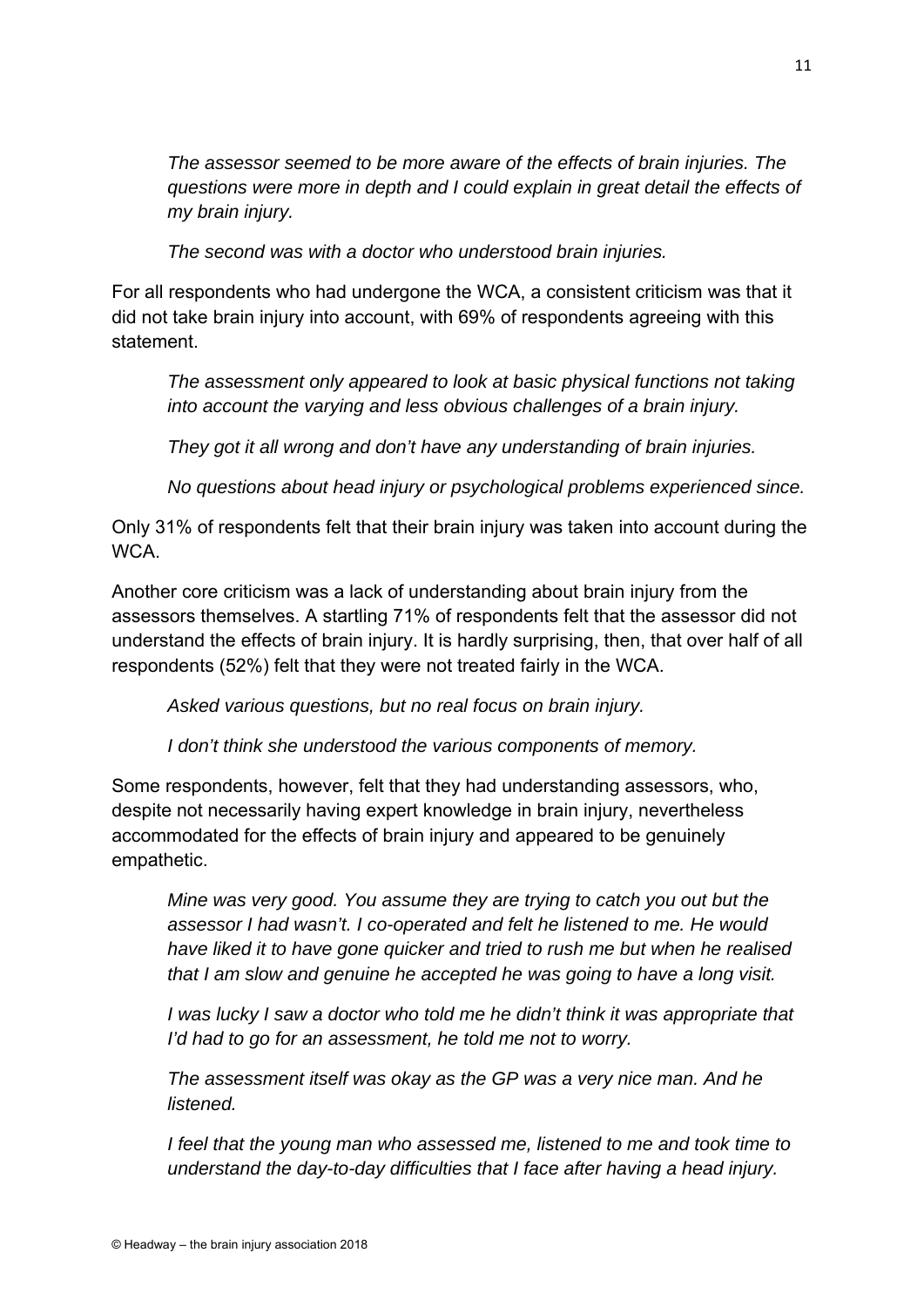*The assessor seemed to be more aware of the effects of brain injuries. The questions were more in depth and I could explain in great detail the effects of my brain injury.* 

*The second was with a doctor who understood brain injuries.* 

For all respondents who had undergone the WCA, a consistent criticism was that it did not take brain injury into account, with 69% of respondents agreeing with this statement.

*The assessment only appeared to look at basic physical functions not taking into account the varying and less obvious challenges of a brain injury.* 

*They got it all wrong and don't have any understanding of brain injuries.* 

*No questions about head injury or psychological problems experienced since.* 

Only 31% of respondents felt that their brain injury was taken into account during the W<sub>C</sub>A

Another core criticism was a lack of understanding about brain injury from the assessors themselves. A startling 71% of respondents felt that the assessor did not understand the effects of brain injury. It is hardly surprising, then, that over half of all respondents (52%) felt that they were not treated fairly in the WCA.

*Asked various questions, but no real focus on brain injury.* 

*I don't think she understood the various components of memory.* 

Some respondents, however, felt that they had understanding assessors, who, despite not necessarily having expert knowledge in brain injury, nevertheless accommodated for the effects of brain injury and appeared to be genuinely empathetic.

*Mine was very good. You assume they are trying to catch you out but the assessor I had wasn't. I co-operated and felt he listened to me. He would have liked it to have gone quicker and tried to rush me but when he realised that I am slow and genuine he accepted he was going to have a long visit.* 

*I* was lucky *I* saw a doctor who told me he didn't think it was appropriate that *I'd had to go for an assessment, he told me not to worry.* 

*The assessment itself was okay as the GP was a very nice man. And he listened.* 

*I feel that the young man who assessed me, listened to me and took time to understand the day-to-day difficulties that I face after having a head injury.*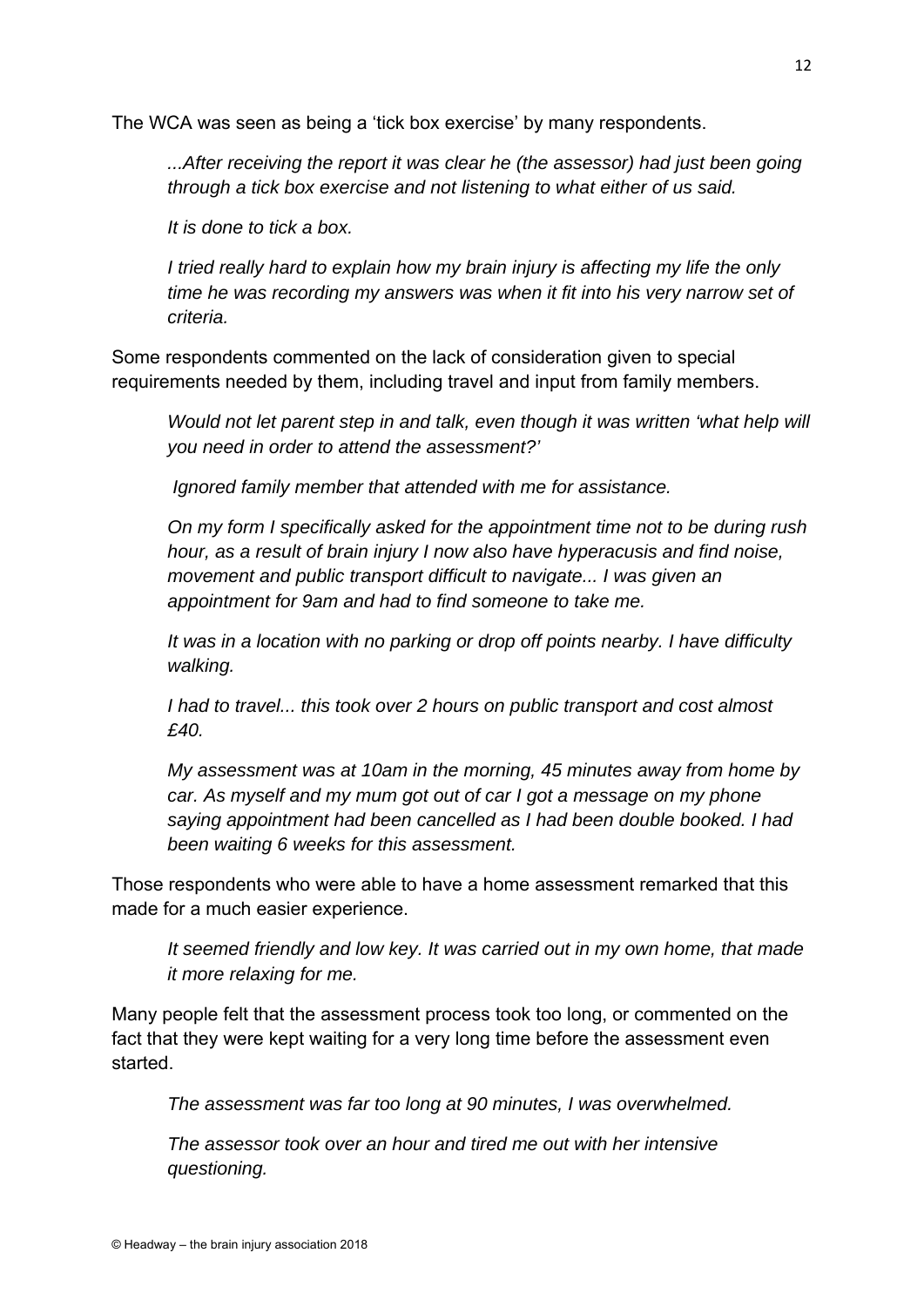The WCA was seen as being a 'tick box exercise' by many respondents.

*...After receiving the report it was clear he (the assessor) had just been going through a tick box exercise and not listening to what either of us said.* 

*It is done to tick a box.* 

*I tried really hard to explain how my brain injury is affecting my life the only time he was recording my answers was when it fit into his very narrow set of criteria.* 

Some respondents commented on the lack of consideration given to special requirements needed by them, including travel and input from family members.

*Would not let parent step in and talk, even though it was written 'what help will you need in order to attend the assessment?'* 

 *Ignored family member that attended with me for assistance.* 

*On my form I specifically asked for the appointment time not to be during rush hour, as a result of brain injury I now also have hyperacusis and find noise, movement and public transport difficult to navigate... I was given an appointment for 9am and had to find someone to take me.* 

*It was in a location with no parking or drop off points nearby. I have difficulty walking.* 

*I had to travel... this took over 2 hours on public transport and cost almost £40.* 

*My assessment was at 10am in the morning, 45 minutes away from home by car. As myself and my mum got out of car I got a message on my phone saying appointment had been cancelled as I had been double booked. I had been waiting 6 weeks for this assessment.* 

Those respondents who were able to have a home assessment remarked that this made for a much easier experience.

*It seemed friendly and low key. It was carried out in my own home, that made it more relaxing for me.* 

Many people felt that the assessment process took too long, or commented on the fact that they were kept waiting for a very long time before the assessment even started.

*The assessment was far too long at 90 minutes, I was overwhelmed.* 

*The assessor took over an hour and tired me out with her intensive questioning.*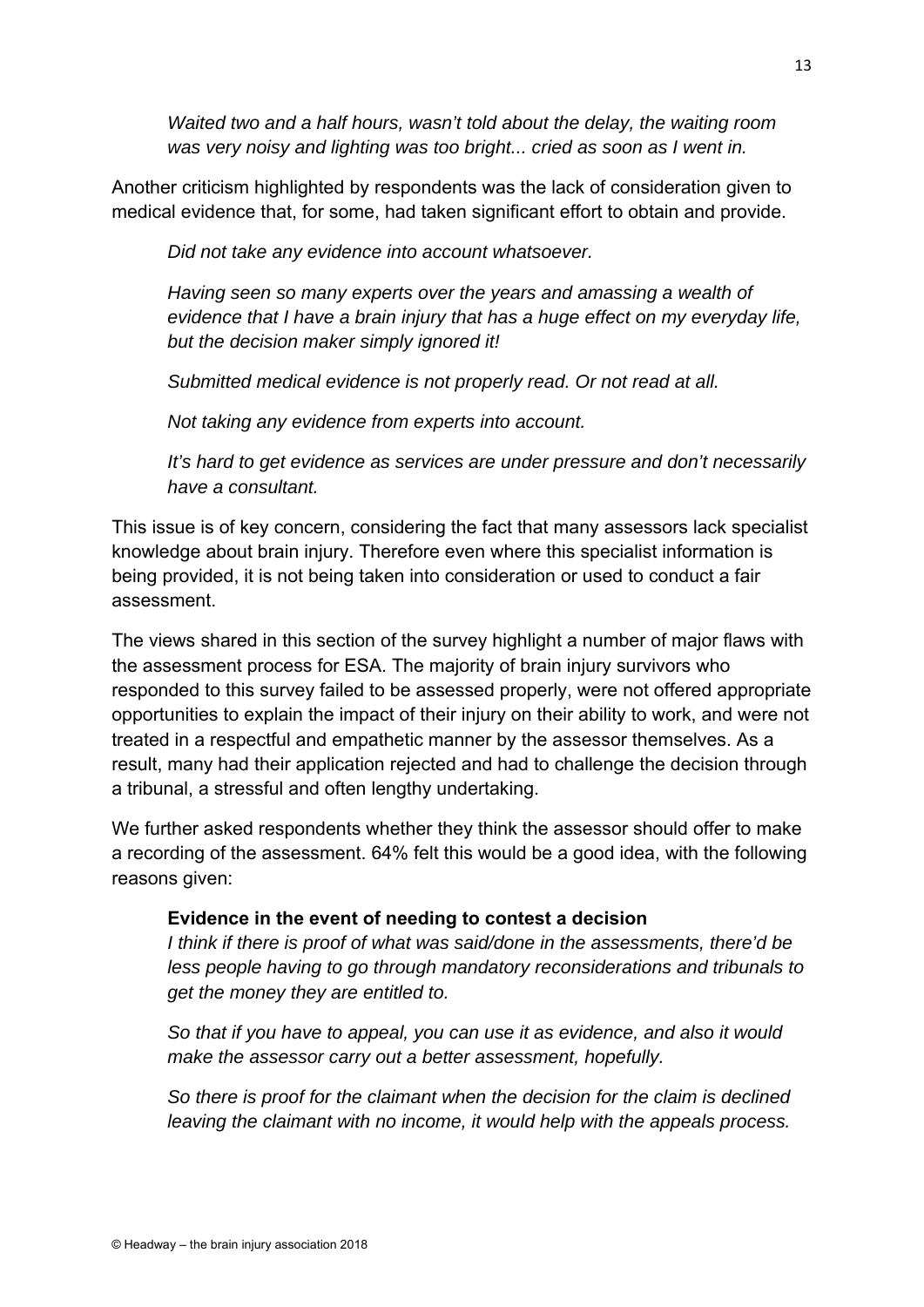*Waited two and a half hours, wasn't told about the delay, the waiting room was very noisy and lighting was too bright... cried as soon as I went in.* 

Another criticism highlighted by respondents was the lack of consideration given to medical evidence that, for some, had taken significant effort to obtain and provide.

*Did not take any evidence into account whatsoever.* 

*Having seen so many experts over the years and amassing a wealth of evidence that I have a brain injury that has a huge effect on my everyday life, but the decision maker simply ignored it!* 

*Submitted medical evidence is not properly read. Or not read at all.* 

*Not taking any evidence from experts into account.* 

*It's hard to get evidence as services are under pressure and don't necessarily have a consultant.* 

This issue is of key concern, considering the fact that many assessors lack specialist knowledge about brain injury. Therefore even where this specialist information is being provided, it is not being taken into consideration or used to conduct a fair assessment.

The views shared in this section of the survey highlight a number of major flaws with the assessment process for ESA. The majority of brain injury survivors who responded to this survey failed to be assessed properly, were not offered appropriate opportunities to explain the impact of their injury on their ability to work, and were not treated in a respectful and empathetic manner by the assessor themselves. As a result, many had their application rejected and had to challenge the decision through a tribunal, a stressful and often lengthy undertaking.

We further asked respondents whether they think the assessor should offer to make a recording of the assessment. 64% felt this would be a good idea, with the following reasons given:

#### **Evidence in the event of needing to contest a decision**

*I think if there is proof of what was said/done in the assessments, there'd be less people having to go through mandatory reconsiderations and tribunals to get the money they are entitled to.* 

*So that if you have to appeal, you can use it as evidence, and also it would make the assessor carry out a better assessment, hopefully.* 

*So there is proof for the claimant when the decision for the claim is declined leaving the claimant with no income, it would help with the appeals process.*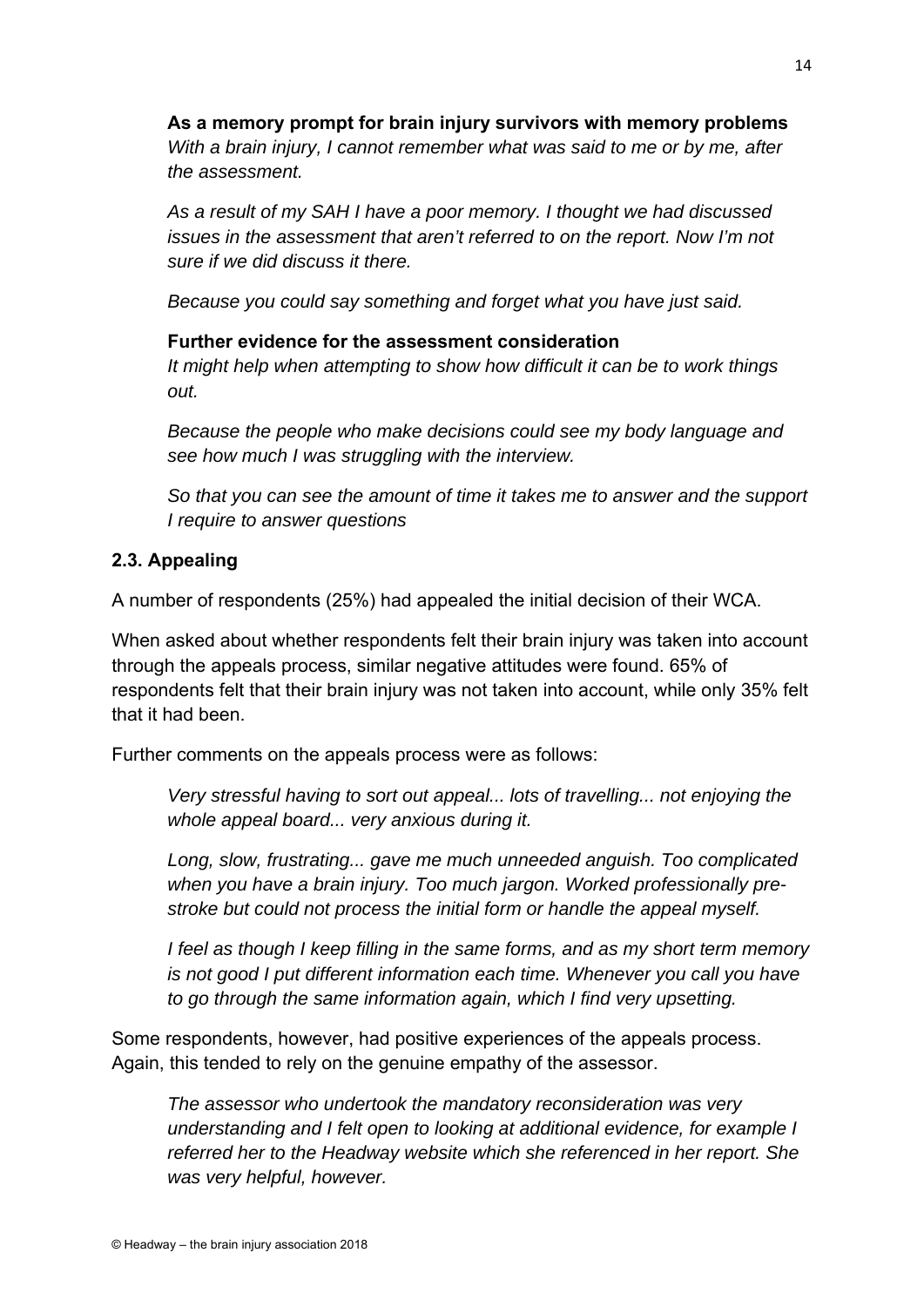**As a memory prompt for brain injury survivors with memory problems** *With a brain injury, I cannot remember what was said to me or by me, after the assessment.* 

*As a result of my SAH I have a poor memory. I thought we had discussed issues in the assessment that aren't referred to on the report. Now I'm not sure if we did discuss it there.* 

*Because you could say something and forget what you have just said.* 

#### **Further evidence for the assessment consideration**

*It might help when attempting to show how difficult it can be to work things out.* 

*Because the people who make decisions could see my body language and see how much I was struggling with the interview.* 

*So that you can see the amount of time it takes me to answer and the support I require to answer questions* 

#### **2.3. Appealing**

A number of respondents (25%) had appealed the initial decision of their WCA.

When asked about whether respondents felt their brain injury was taken into account through the appeals process, similar negative attitudes were found. 65% of respondents felt that their brain injury was not taken into account, while only 35% felt that it had been.

Further comments on the appeals process were as follows:

*Very stressful having to sort out appeal... lots of travelling... not enjoying the whole appeal board... very anxious during it.* 

*Long, slow, frustrating... gave me much unneeded anguish. Too complicated when you have a brain injury. Too much jargon. Worked professionally prestroke but could not process the initial form or handle the appeal myself.* 

*I feel as though I keep filling in the same forms, and as my short term memory is not good I put different information each time. Whenever you call you have to go through the same information again, which I find very upsetting.* 

Some respondents, however, had positive experiences of the appeals process. Again, this tended to rely on the genuine empathy of the assessor.

*The assessor who undertook the mandatory reconsideration was very understanding and I felt open to looking at additional evidence, for example I referred her to the Headway website which she referenced in her report. She was very helpful, however.*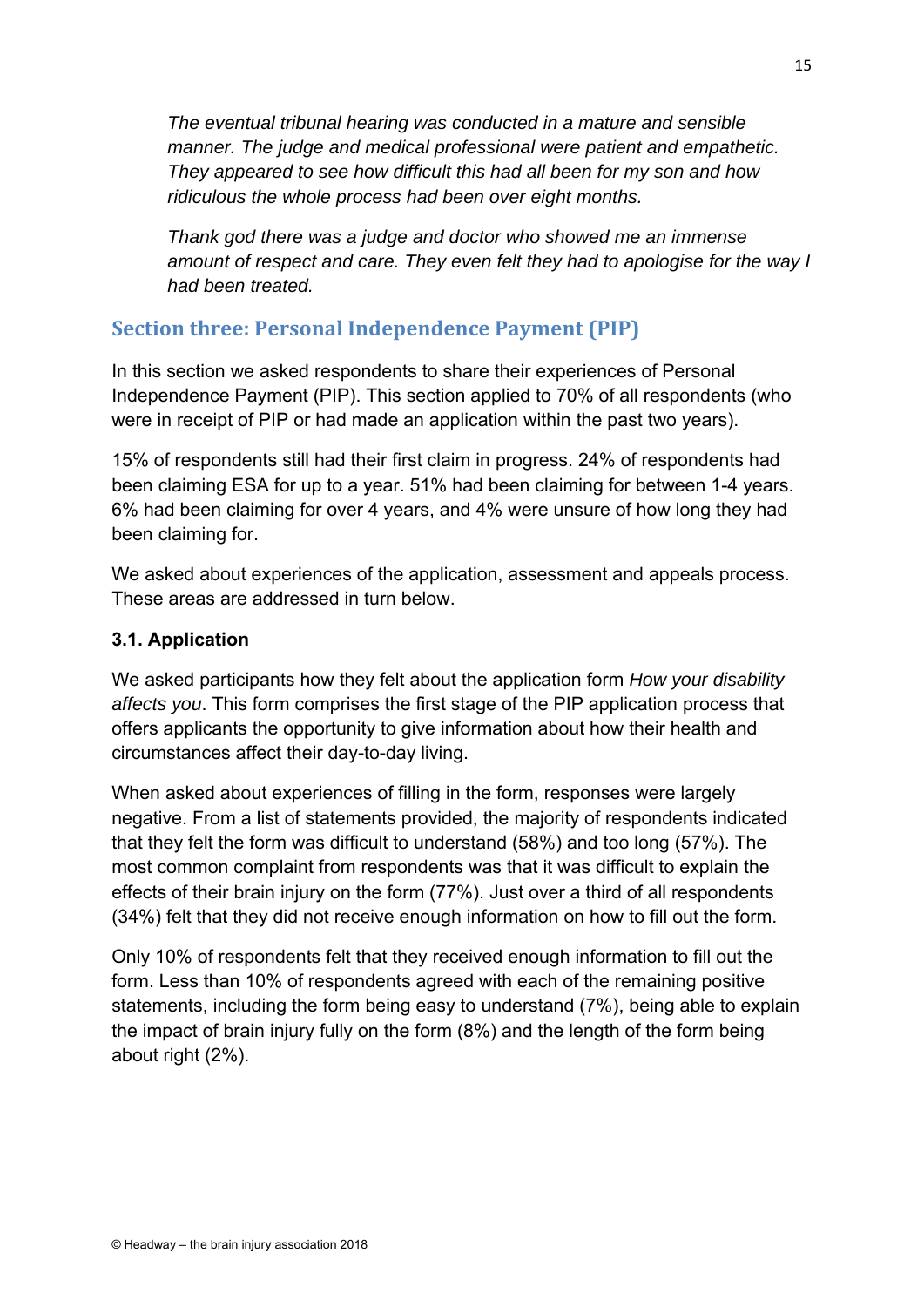*The eventual tribunal hearing was conducted in a mature and sensible manner. The judge and medical professional were patient and empathetic. They appeared to see how difficult this had all been for my son and how ridiculous the whole process had been over eight months.* 

*Thank god there was a judge and doctor who showed me an immense amount of respect and care. They even felt they had to apologise for the way I had been treated.* 

# **Section three: Personal Independence Payment (PIP)**

In this section we asked respondents to share their experiences of Personal Independence Payment (PIP). This section applied to 70% of all respondents (who were in receipt of PIP or had made an application within the past two years).

15% of respondents still had their first claim in progress. 24% of respondents had been claiming ESA for up to a year. 51% had been claiming for between 1-4 years. 6% had been claiming for over 4 years, and 4% were unsure of how long they had been claiming for.

We asked about experiences of the application, assessment and appeals process. These areas are addressed in turn below.

#### **3.1. Application**

We asked participants how they felt about the application form *How your disability affects you*. This form comprises the first stage of the PIP application process that offers applicants the opportunity to give information about how their health and circumstances affect their day-to-day living.

When asked about experiences of filling in the form, responses were largely negative. From a list of statements provided, the majority of respondents indicated that they felt the form was difficult to understand (58%) and too long (57%). The most common complaint from respondents was that it was difficult to explain the effects of their brain injury on the form (77%). Just over a third of all respondents (34%) felt that they did not receive enough information on how to fill out the form.

Only 10% of respondents felt that they received enough information to fill out the form. Less than 10% of respondents agreed with each of the remaining positive statements, including the form being easy to understand (7%), being able to explain the impact of brain injury fully on the form (8%) and the length of the form being about right (2%).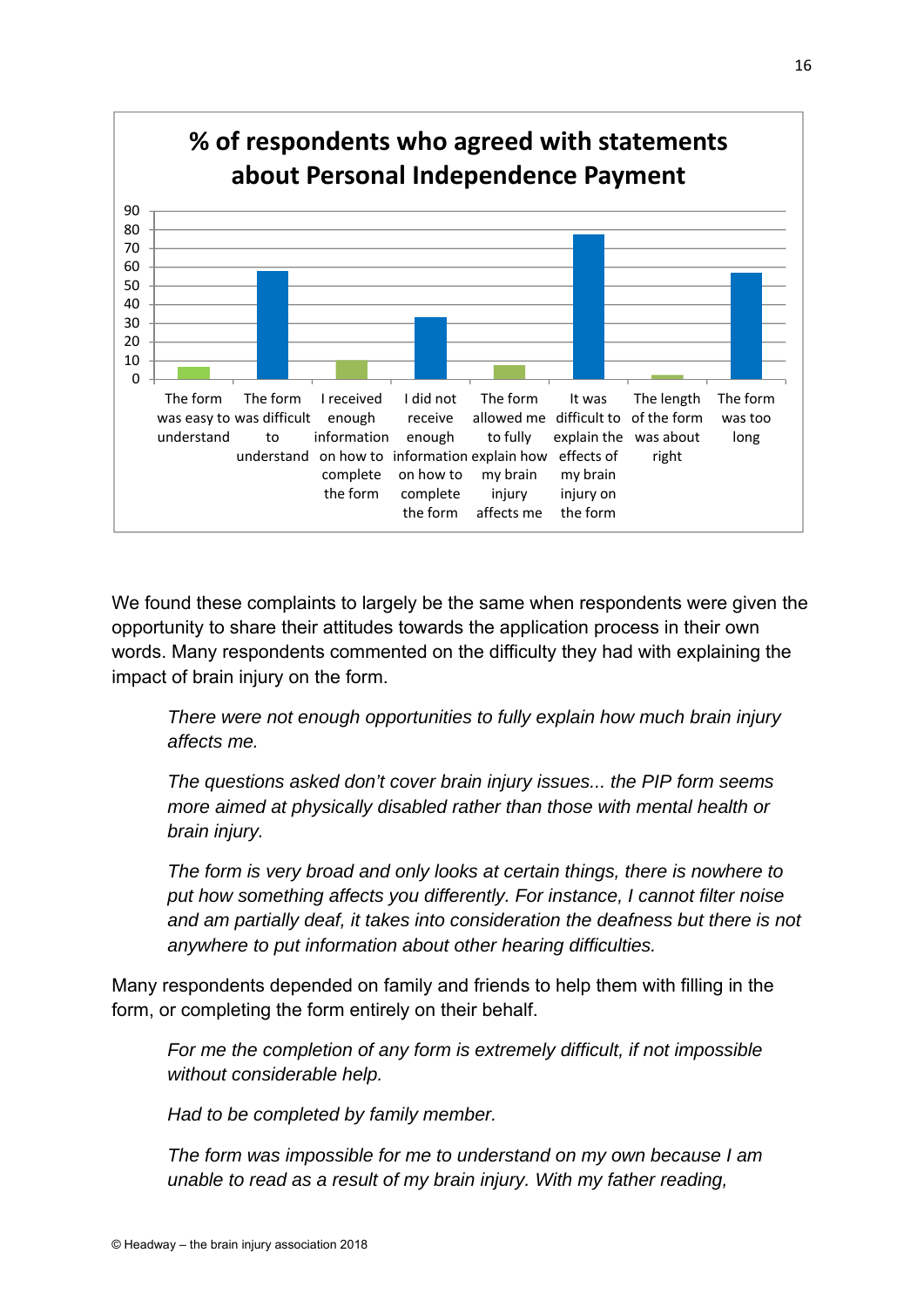

We found these complaints to largely be the same when respondents were given the opportunity to share their attitudes towards the application process in their own words. Many respondents commented on the difficulty they had with explaining the impact of brain injury on the form.

*There were not enough opportunities to fully explain how much brain injury affects me.* 

*The questions asked don't cover brain injury issues... the PIP form seems more aimed at physically disabled rather than those with mental health or brain injury.* 

*The form is very broad and only looks at certain things, there is nowhere to put how something affects you differently. For instance, I cannot filter noise and am partially deaf, it takes into consideration the deafness but there is not anywhere to put information about other hearing difficulties.* 

Many respondents depended on family and friends to help them with filling in the form, or completing the form entirely on their behalf.

*For me the completion of any form is extremely difficult, if not impossible without considerable help.* 

*Had to be completed by family member.* 

*The form was impossible for me to understand on my own because I am unable to read as a result of my brain injury. With my father reading,*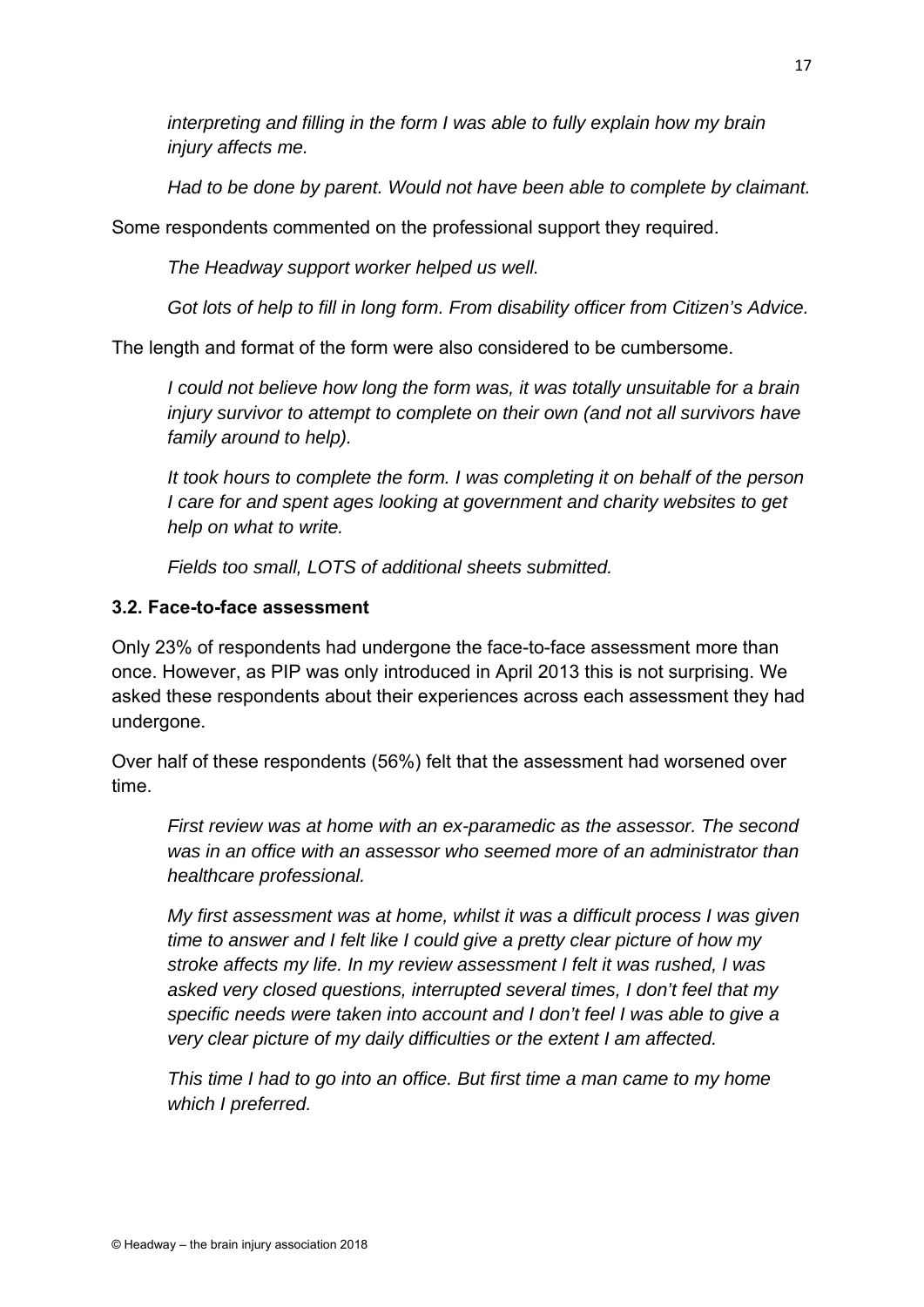*interpreting and filling in the form I was able to fully explain how my brain injury affects me.* 

*Had to be done by parent. Would not have been able to complete by claimant.* 

Some respondents commented on the professional support they required.

*The Headway support worker helped us well.* 

*Got lots of help to fill in long form. From disability officer from Citizen's Advice.* 

The length and format of the form were also considered to be cumbersome.

*I could not believe how long the form was, it was totally unsuitable for a brain injury survivor to attempt to complete on their own (and not all survivors have family around to help).* 

*It took hours to complete the form. I was completing it on behalf of the person I care for and spent ages looking at government and charity websites to get help on what to write.* 

*Fields too small, LOTS of additional sheets submitted.* 

#### **3.2. Face-to-face assessment**

Only 23% of respondents had undergone the face-to-face assessment more than once. However, as PIP was only introduced in April 2013 this is not surprising. We asked these respondents about their experiences across each assessment they had undergone.

Over half of these respondents (56%) felt that the assessment had worsened over time.

*First review was at home with an ex-paramedic as the assessor. The second was in an office with an assessor who seemed more of an administrator than healthcare professional.* 

*My first assessment was at home, whilst it was a difficult process I was given time to answer and I felt like I could give a pretty clear picture of how my stroke affects my life. In my review assessment I felt it was rushed, I was asked very closed questions, interrupted several times, I don't feel that my specific needs were taken into account and I don't feel I was able to give a very clear picture of my daily difficulties or the extent I am affected.* 

*This time I had to go into an office. But first time a man came to my home which I preferred.*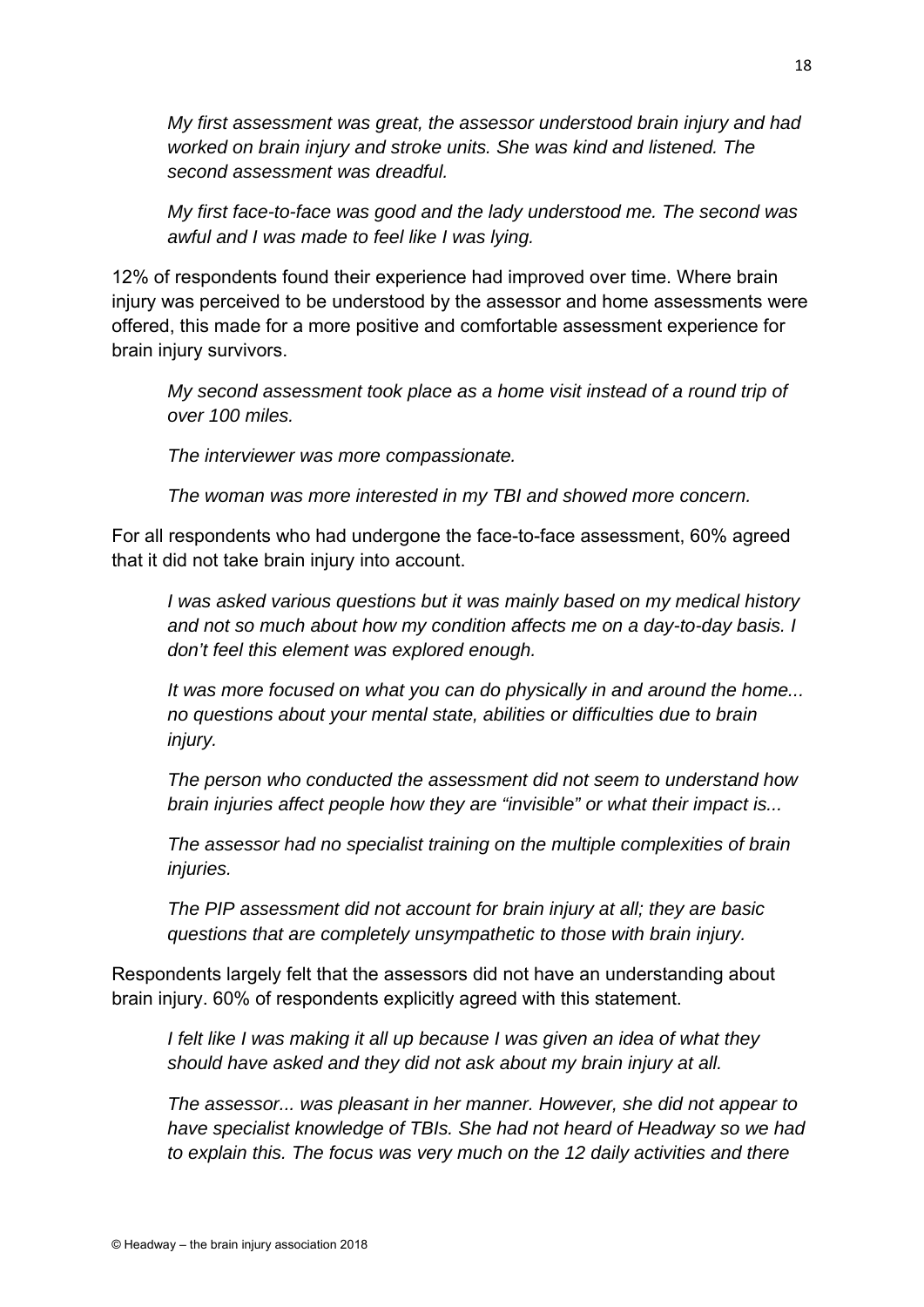*My first assessment was great, the assessor understood brain injury and had worked on brain injury and stroke units. She was kind and listened. The second assessment was dreadful.* 

*My first face-to-face was good and the lady understood me. The second was awful and I was made to feel like I was lying.* 

12% of respondents found their experience had improved over time. Where brain injury was perceived to be understood by the assessor and home assessments were offered, this made for a more positive and comfortable assessment experience for brain injury survivors.

*My second assessment took place as a home visit instead of a round trip of over 100 miles.* 

*The interviewer was more compassionate.* 

*The woman was more interested in my TBI and showed more concern.* 

For all respondents who had undergone the face-to-face assessment, 60% agreed that it did not take brain injury into account.

*I was asked various questions but it was mainly based on my medical history and not so much about how my condition affects me on a day-to-day basis. I don't feel this element was explored enough.* 

*It was more focused on what you can do physically in and around the home... no questions about your mental state, abilities or difficulties due to brain injury.* 

*The person who conducted the assessment did not seem to understand how brain injuries affect people how they are "invisible" or what their impact is...* 

*The assessor had no specialist training on the multiple complexities of brain injuries.* 

*The PIP assessment did not account for brain injury at all; they are basic questions that are completely unsympathetic to those with brain injury.* 

Respondents largely felt that the assessors did not have an understanding about brain injury. 60% of respondents explicitly agreed with this statement.

*I felt like I was making it all up because I was given an idea of what they should have asked and they did not ask about my brain injury at all.* 

*The assessor... was pleasant in her manner. However, she did not appear to have specialist knowledge of TBIs. She had not heard of Headway so we had to explain this. The focus was very much on the 12 daily activities and there*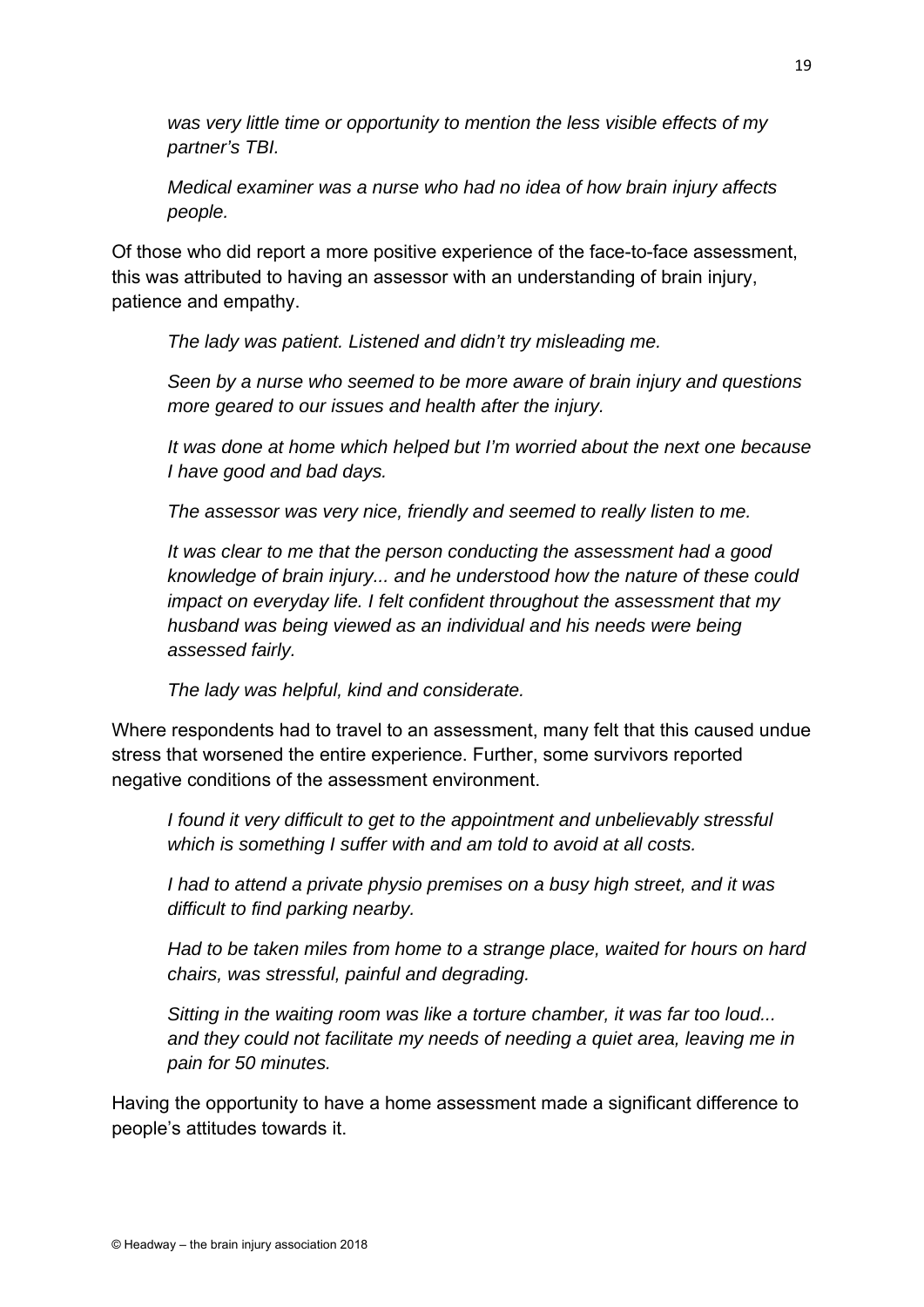*was very little time or opportunity to mention the less visible effects of my partner's TBI.* 

*Medical examiner was a nurse who had no idea of how brain injury affects people.* 

Of those who did report a more positive experience of the face-to-face assessment, this was attributed to having an assessor with an understanding of brain injury, patience and empathy.

*The lady was patient. Listened and didn't try misleading me.* 

*Seen by a nurse who seemed to be more aware of brain injury and questions more geared to our issues and health after the injury.* 

*It was done at home which helped but I'm worried about the next one because I have good and bad days.* 

*The assessor was very nice, friendly and seemed to really listen to me.* 

*It was clear to me that the person conducting the assessment had a good knowledge of brain injury... and he understood how the nature of these could impact on everyday life. I felt confident throughout the assessment that my husband was being viewed as an individual and his needs were being assessed fairly.* 

*The lady was helpful, kind and considerate.* 

Where respondents had to travel to an assessment, many felt that this caused undue stress that worsened the entire experience. Further, some survivors reported negative conditions of the assessment environment.

*I found it very difficult to get to the appointment and unbelievably stressful which is something I suffer with and am told to avoid at all costs.* 

*I had to attend a private physio premises on a busy high street, and it was difficult to find parking nearby.* 

*Had to be taken miles from home to a strange place, waited for hours on hard chairs, was stressful, painful and degrading.* 

*Sitting in the waiting room was like a torture chamber, it was far too loud... and they could not facilitate my needs of needing a quiet area, leaving me in pain for 50 minutes.* 

Having the opportunity to have a home assessment made a significant difference to people's attitudes towards it.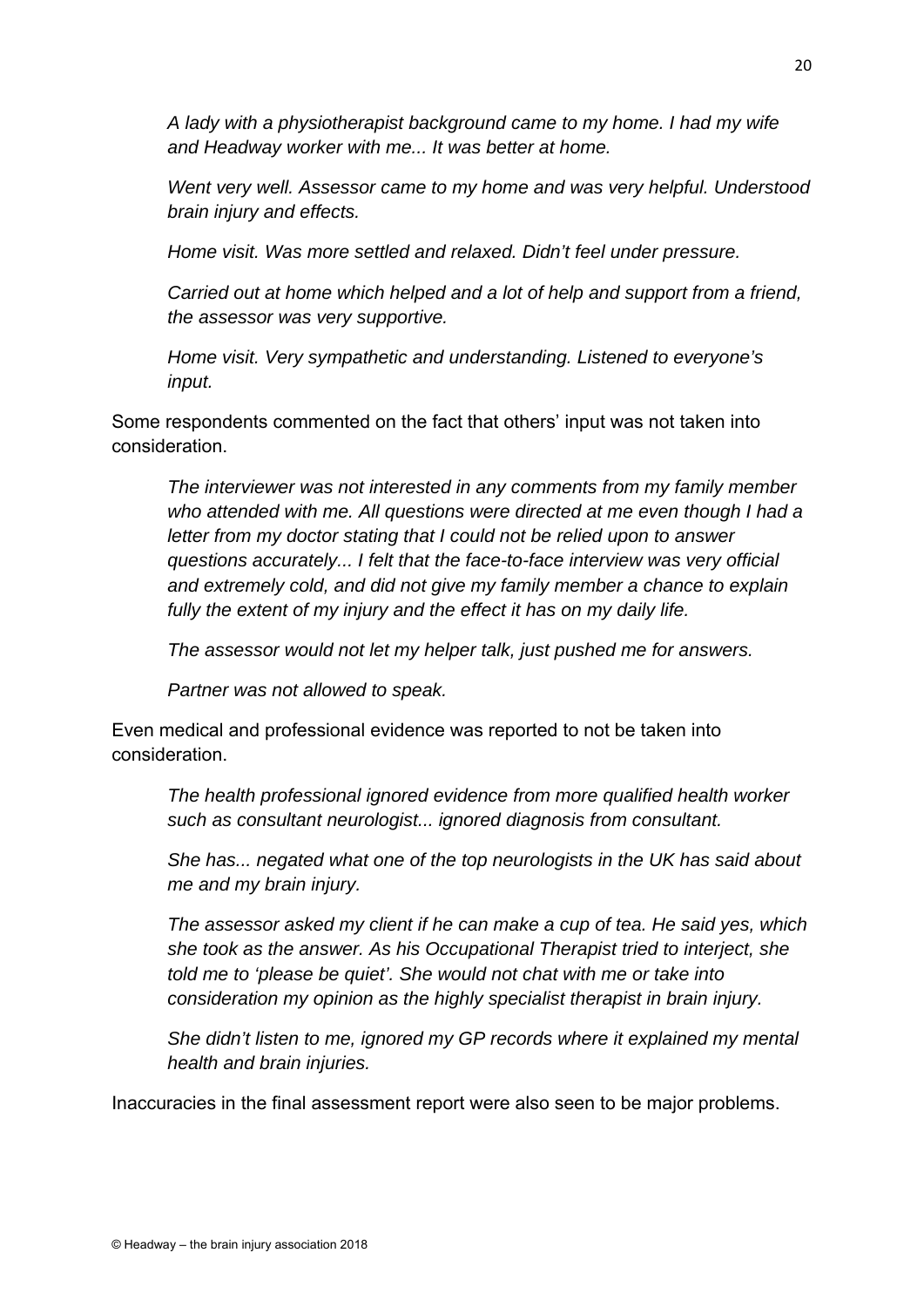*A lady with a physiotherapist background came to my home. I had my wife and Headway worker with me... It was better at home.* 

*Went very well. Assessor came to my home and was very helpful. Understood brain injury and effects.* 

*Home visit. Was more settled and relaxed. Didn't feel under pressure.* 

*Carried out at home which helped and a lot of help and support from a friend, the assessor was very supportive.* 

*Home visit. Very sympathetic and understanding. Listened to everyone's input.* 

Some respondents commented on the fact that others' input was not taken into consideration.

*The interviewer was not interested in any comments from my family member who attended with me. All questions were directed at me even though I had a letter from my doctor stating that I could not be relied upon to answer questions accurately... I felt that the face-to-face interview was very official and extremely cold, and did not give my family member a chance to explain fully the extent of my injury and the effect it has on my daily life.* 

*The assessor would not let my helper talk, just pushed me for answers.* 

*Partner was not allowed to speak.* 

Even medical and professional evidence was reported to not be taken into consideration.

*The health professional ignored evidence from more qualified health worker such as consultant neurologist... ignored diagnosis from consultant.* 

*She has... negated what one of the top neurologists in the UK has said about me and my brain injury.* 

*The assessor asked my client if he can make a cup of tea. He said yes, which she took as the answer. As his Occupational Therapist tried to interject, she told me to 'please be quiet'. She would not chat with me or take into consideration my opinion as the highly specialist therapist in brain injury.* 

*She didn't listen to me, ignored my GP records where it explained my mental health and brain injuries.* 

Inaccuracies in the final assessment report were also seen to be major problems.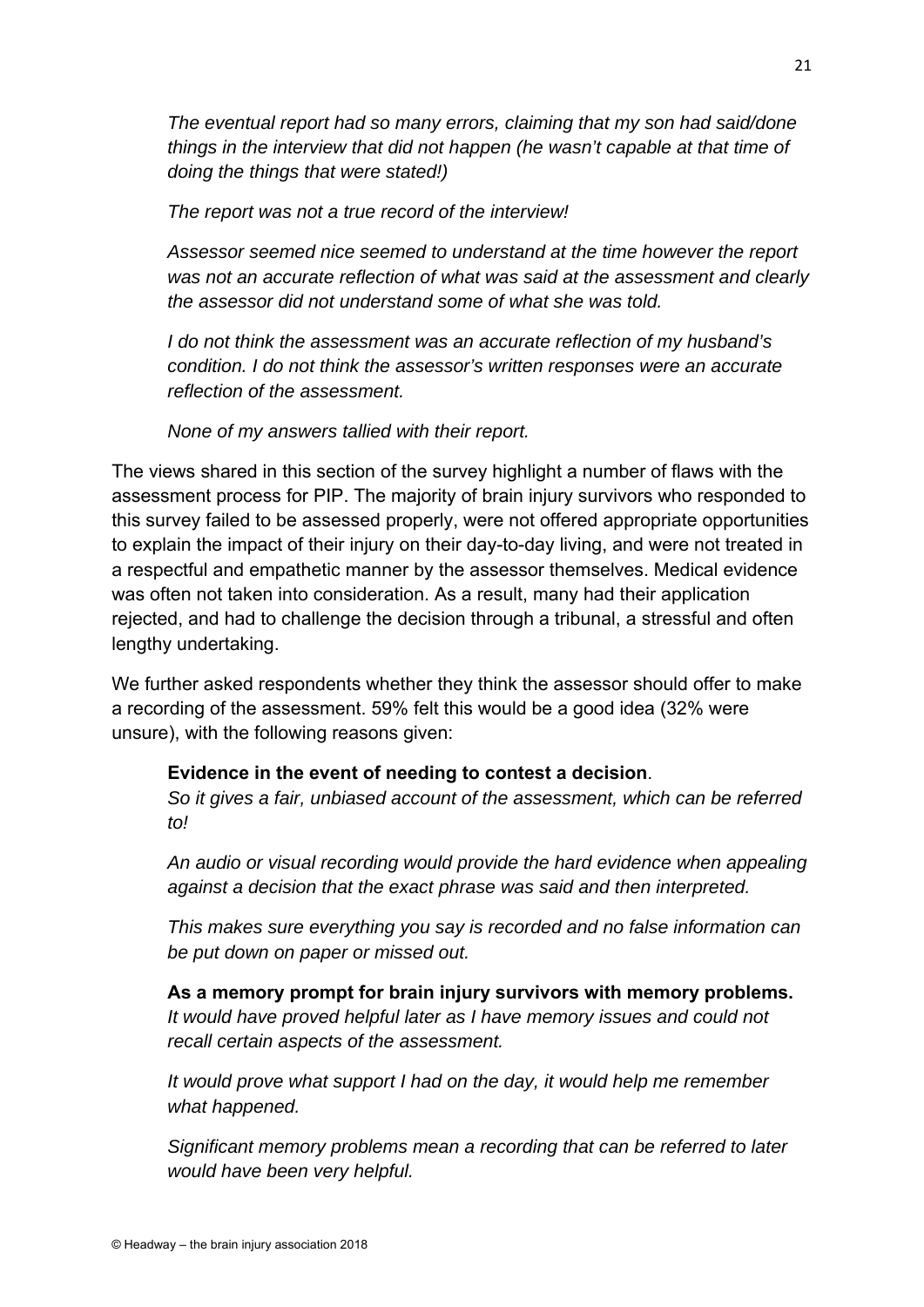*The eventual report had so many errors, claiming that my son had said/done things in the interview that did not happen (he wasn't capable at that time of doing the things that were stated!)* 

*The report was not a true record of the interview!* 

*Assessor seemed nice seemed to understand at the time however the report was not an accurate reflection of what was said at the assessment and clearly the assessor did not understand some of what she was told.* 

*I do not think the assessment was an accurate reflection of my husband's condition. I do not think the assessor's written responses were an accurate reflection of the assessment.* 

*None of my answers tallied with their report.* 

The views shared in this section of the survey highlight a number of flaws with the assessment process for PIP. The majority of brain injury survivors who responded to this survey failed to be assessed properly, were not offered appropriate opportunities to explain the impact of their injury on their day-to-day living, and were not treated in a respectful and empathetic manner by the assessor themselves. Medical evidence was often not taken into consideration. As a result, many had their application rejected, and had to challenge the decision through a tribunal, a stressful and often lengthy undertaking.

We further asked respondents whether they think the assessor should offer to make a recording of the assessment. 59% felt this would be a good idea (32% were unsure), with the following reasons given:

#### **Evidence in the event of needing to contest a decision**.

*So it gives a fair, unbiased account of the assessment, which can be referred to!* 

*An audio or visual recording would provide the hard evidence when appealing against a decision that the exact phrase was said and then interpreted.* 

*This makes sure everything you say is recorded and no false information can be put down on paper or missed out.* 

# **As a memory prompt for brain injury survivors with memory problems.**

*It would have proved helpful later as I have memory issues and could not recall certain aspects of the assessment.* 

*It would prove what support I had on the day, it would help me remember what happened.* 

*Significant memory problems mean a recording that can be referred to later would have been very helpful.*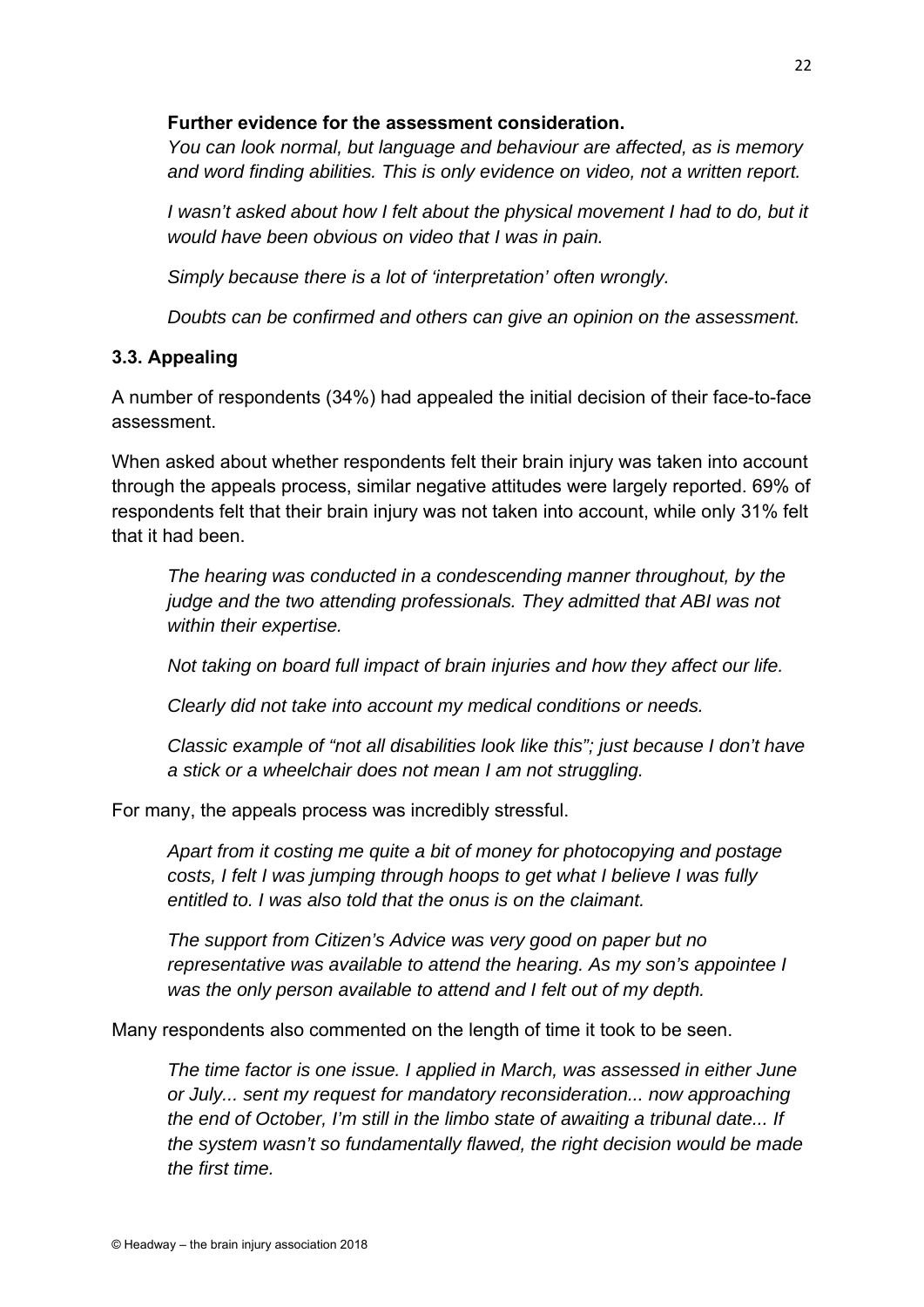#### **Further evidence for the assessment consideration.**

*You can look normal, but language and behaviour are affected, as is memory and word finding abilities. This is only evidence on video, not a written report.* 

*I* wasn't asked about how I felt about the physical movement I had to do, but it *would have been obvious on video that I was in pain.* 

*Simply because there is a lot of 'interpretation' often wrongly.* 

*Doubts can be confirmed and others can give an opinion on the assessment.* 

#### **3.3. Appealing**

A number of respondents (34%) had appealed the initial decision of their face-to-face assessment.

When asked about whether respondents felt their brain injury was taken into account through the appeals process, similar negative attitudes were largely reported. 69% of respondents felt that their brain injury was not taken into account, while only 31% felt that it had been.

*The hearing was conducted in a condescending manner throughout, by the judge and the two attending professionals. They admitted that ABI was not within their expertise.* 

*Not taking on board full impact of brain injuries and how they affect our life.* 

*Clearly did not take into account my medical conditions or needs.* 

*Classic example of "not all disabilities look like this"; just because I don't have a stick or a wheelchair does not mean I am not struggling.* 

For many, the appeals process was incredibly stressful.

*Apart from it costing me quite a bit of money for photocopying and postage costs, I felt I was jumping through hoops to get what I believe I was fully entitled to. I was also told that the onus is on the claimant.* 

*The support from Citizen's Advice was very good on paper but no representative was available to attend the hearing. As my son's appointee I was the only person available to attend and I felt out of my depth.* 

Many respondents also commented on the length of time it took to be seen.

*The time factor is one issue. I applied in March, was assessed in either June or July... sent my request for mandatory reconsideration... now approaching the end of October, I'm still in the limbo state of awaiting a tribunal date... If the system wasn't so fundamentally flawed, the right decision would be made the first time.*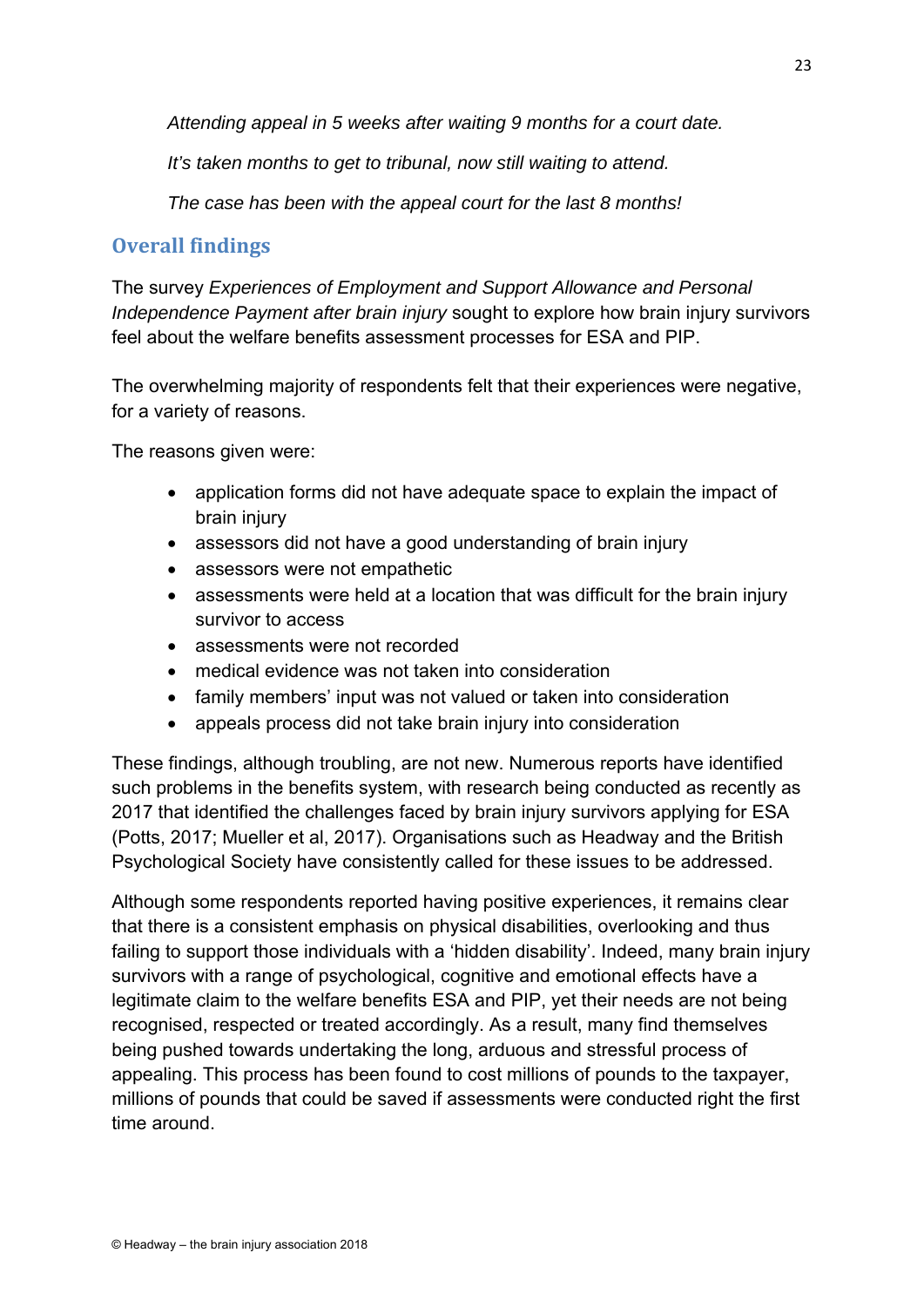*Attending appeal in 5 weeks after waiting 9 months for a court date.* 

*It's taken months to get to tribunal, now still waiting to attend.* 

*The case has been with the appeal court for the last 8 months!* 

# **Overall findings**

The survey *Experiences of Employment and Support Allowance and Personal Independence Payment after brain injury* sought to explore how brain injury survivors feel about the welfare benefits assessment processes for ESA and PIP.

The overwhelming majority of respondents felt that their experiences were negative, for a variety of reasons.

The reasons given were:

- application forms did not have adequate space to explain the impact of brain injury
- assessors did not have a good understanding of brain injury
- assessors were not empathetic
- assessments were held at a location that was difficult for the brain injury survivor to access
- assessments were not recorded
- medical evidence was not taken into consideration
- family members' input was not valued or taken into consideration
- appeals process did not take brain injury into consideration

These findings, although troubling, are not new. Numerous reports have identified such problems in the benefits system, with research being conducted as recently as 2017 that identified the challenges faced by brain injury survivors applying for ESA (Potts, 2017; Mueller et al, 2017). Organisations such as Headway and the British Psychological Society have consistently called for these issues to be addressed.

Although some respondents reported having positive experiences, it remains clear that there is a consistent emphasis on physical disabilities, overlooking and thus failing to support those individuals with a 'hidden disability'. Indeed, many brain injury survivors with a range of psychological, cognitive and emotional effects have a legitimate claim to the welfare benefits ESA and PIP, yet their needs are not being recognised, respected or treated accordingly. As a result, many find themselves being pushed towards undertaking the long, arduous and stressful process of appealing. This process has been found to cost millions of pounds to the taxpayer, millions of pounds that could be saved if assessments were conducted right the first time around.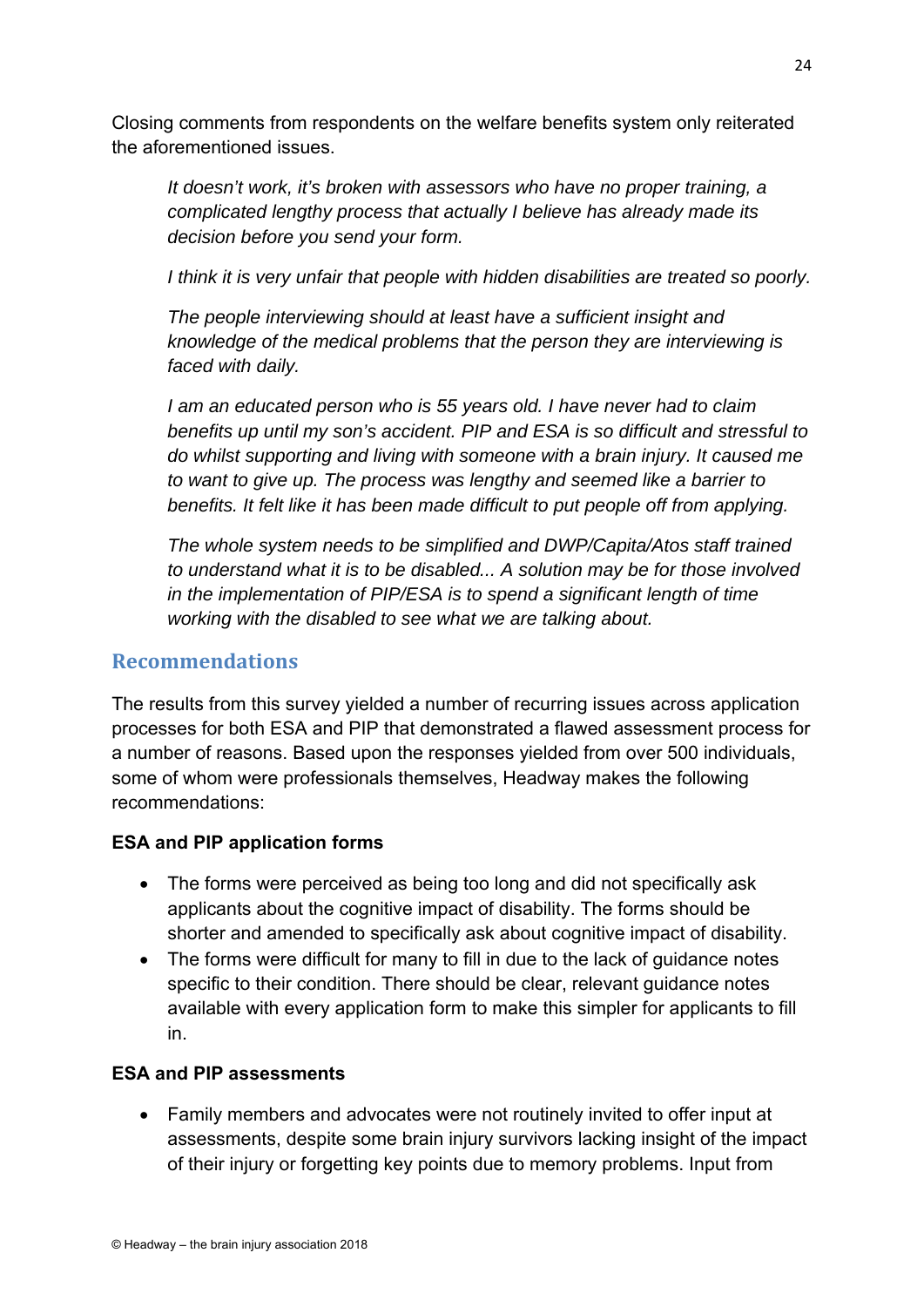Closing comments from respondents on the welfare benefits system only reiterated the aforementioned issues.

*It doesn't work, it's broken with assessors who have no proper training, a complicated lengthy process that actually I believe has already made its decision before you send your form.* 

*I think it is very unfair that people with hidden disabilities are treated so poorly.* 

*The people interviewing should at least have a sufficient insight and knowledge of the medical problems that the person they are interviewing is faced with daily.* 

*I am an educated person who is 55 years old. I have never had to claim benefits up until my son's accident. PIP and ESA is so difficult and stressful to do whilst supporting and living with someone with a brain injury. It caused me to want to give up. The process was lengthy and seemed like a barrier to benefits. It felt like it has been made difficult to put people off from applying.* 

*The whole system needs to be simplified and DWP/Capita/Atos staff trained to understand what it is to be disabled... A solution may be for those involved in the implementation of PIP/ESA is to spend a significant length of time working with the disabled to see what we are talking about.* 

#### **Recommendations**

The results from this survey yielded a number of recurring issues across application processes for both ESA and PIP that demonstrated a flawed assessment process for a number of reasons. Based upon the responses yielded from over 500 individuals, some of whom were professionals themselves, Headway makes the following recommendations:

#### **ESA and PIP application forms**

- The forms were perceived as being too long and did not specifically ask applicants about the cognitive impact of disability. The forms should be shorter and amended to specifically ask about cognitive impact of disability.
- The forms were difficult for many to fill in due to the lack of guidance notes specific to their condition. There should be clear, relevant guidance notes available with every application form to make this simpler for applicants to fill in.

#### **ESA and PIP assessments**

 Family members and advocates were not routinely invited to offer input at assessments, despite some brain injury survivors lacking insight of the impact of their injury or forgetting key points due to memory problems. Input from